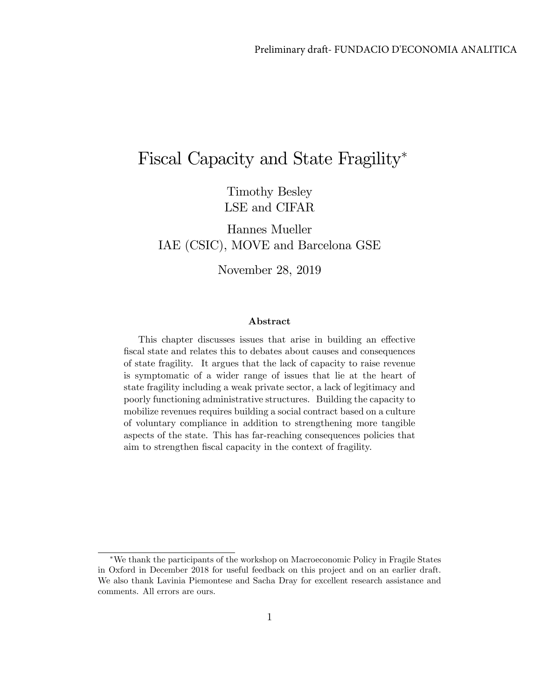# Fiscal Capacity and State Fragility

Timothy Besley LSE and CIFAR

### Hannes Mueller IAE (CSIC), MOVE and Barcelona GSE

November 28, 2019

#### Abstract

This chapter discusses issues that arise in building an effective fiscal state and relates this to debates about causes and consequences of state fragility. It argues that the lack of capacity to raise revenue is symptomatic of a wider range of issues that lie at the heart of state fragility including a weak private sector, a lack of legitimacy and poorly functioning administrative structures. Building the capacity to mobilize revenues requires building a social contract based on a culture of voluntary compliance in addition to strengthening more tangible aspects of the state. This has far-reaching consequences policies that aim to strengthen fiscal capacity in the context of fragility.

We thank the participants of the workshop on Macroeconomic Policy in Fragile States in Oxford in December 2018 for useful feedback on this project and on an earlier draft. We also thank Lavinia Piemontese and Sacha Dray for excellent research assistance and comments. All errors are ours.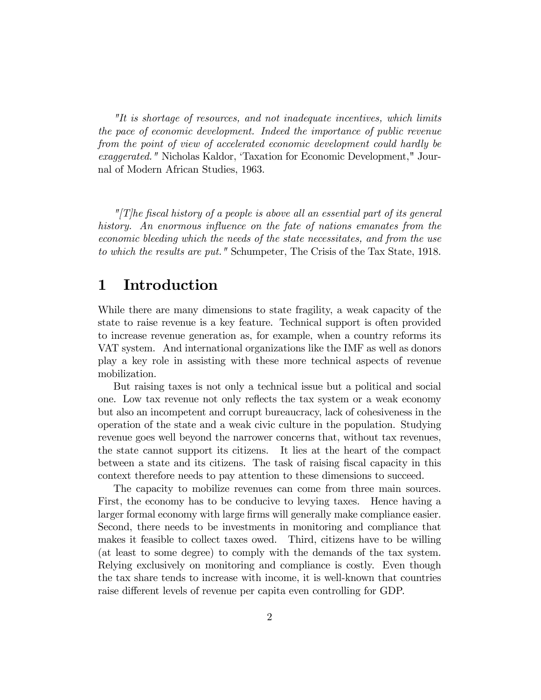"It is shortage of resources, and not inadequate incentives, which limits the pace of economic development. Indeed the importance of public revenue from the point of view of accelerated economic development could hardly be exaggerated." Nicholas Kaldor, 'Taxation for Economic Development," Journal of Modern African Studies, 1963.

 $T$ [T]he fiscal history of a people is above all an essential part of its general history. An enormous influence on the fate of nations emanates from the economic bleeding which the needs of the state necessitates, and from the use to which the results are put." Schumpeter, The Crisis of the Tax State, 1918.

## 1 Introduction

While there are many dimensions to state fragility, a weak capacity of the state to raise revenue is a key feature. Technical support is often provided to increase revenue generation as, for example, when a country reforms its VAT system. And international organizations like the IMF as well as donors play a key role in assisting with these more technical aspects of revenue mobilization.

But raising taxes is not only a technical issue but a political and social one. Low tax revenue not only reflects the tax system or a weak economy but also an incompetent and corrupt bureaucracy, lack of cohesiveness in the operation of the state and a weak civic culture in the population. Studying revenue goes well beyond the narrower concerns that, without tax revenues, the state cannot support its citizens. It lies at the heart of the compact between a state and its citizens. The task of raising fiscal capacity in this context therefore needs to pay attention to these dimensions to succeed.

The capacity to mobilize revenues can come from three main sources. First, the economy has to be conducive to levying taxes. Hence having a larger formal economy with large firms will generally make compliance easier. Second, there needs to be investments in monitoring and compliance that makes it feasible to collect taxes owed. Third, citizens have to be willing (at least to some degree) to comply with the demands of the tax system. Relying exclusively on monitoring and compliance is costly. Even though the tax share tends to increase with income, it is well-known that countries raise different levels of revenue per capita even controlling for GDP.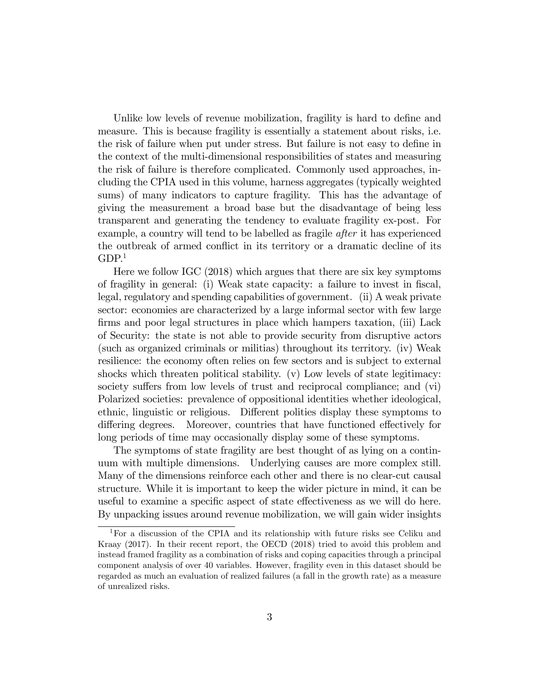Unlike low levels of revenue mobilization, fragility is hard to define and measure. This is because fragility is essentially a statement about risks, i.e. the risk of failure when put under stress. But failure is not easy to define in the context of the multi-dimensional responsibilities of states and measuring the risk of failure is therefore complicated. Commonly used approaches, including the CPIA used in this volume, harness aggregates (typically weighted sums) of many indicators to capture fragility. This has the advantage of giving the measurement a broad base but the disadvantage of being less transparent and generating the tendency to evaluate fragility ex-post. For example, a country will tend to be labelled as fragile after it has experienced the outbreak of armed conflict in its territory or a dramatic decline of its  $GDP<sup>1</sup>$ 

Here we follow IGC (2018) which argues that there are six key symptoms of fragility in general: (i) Weak state capacity: a failure to invest in Öscal, legal, regulatory and spending capabilities of government. (ii) A weak private sector: economies are characterized by a large informal sector with few large firms and poor legal structures in place which hampers taxation, (iii) Lack of Security: the state is not able to provide security from disruptive actors (such as organized criminals or militias) throughout its territory. (iv) Weak resilience: the economy often relies on few sectors and is subject to external shocks which threaten political stability. (v) Low levels of state legitimacy: society suffers from low levels of trust and reciprocal compliance; and (vi) Polarized societies: prevalence of oppositional identities whether ideological, ethnic, linguistic or religious. Different polities display these symptoms to differing degrees. Moreover, countries that have functioned effectively for long periods of time may occasionally display some of these symptoms.

The symptoms of state fragility are best thought of as lying on a continuum with multiple dimensions. Underlying causes are more complex still. Many of the dimensions reinforce each other and there is no clear-cut causal structure. While it is important to keep the wider picture in mind, it can be useful to examine a specific aspect of state effectiveness as we will do here. By unpacking issues around revenue mobilization, we will gain wider insights

<sup>1</sup>For a discussion of the CPIA and its relationship with future risks see Celiku and Kraay (2017). In their recent report, the OECD (2018) tried to avoid this problem and instead framed fragility as a combination of risks and coping capacities through a principal component analysis of over 40 variables. However, fragility even in this dataset should be regarded as much an evaluation of realized failures (a fall in the growth rate) as a measure of unrealized risks.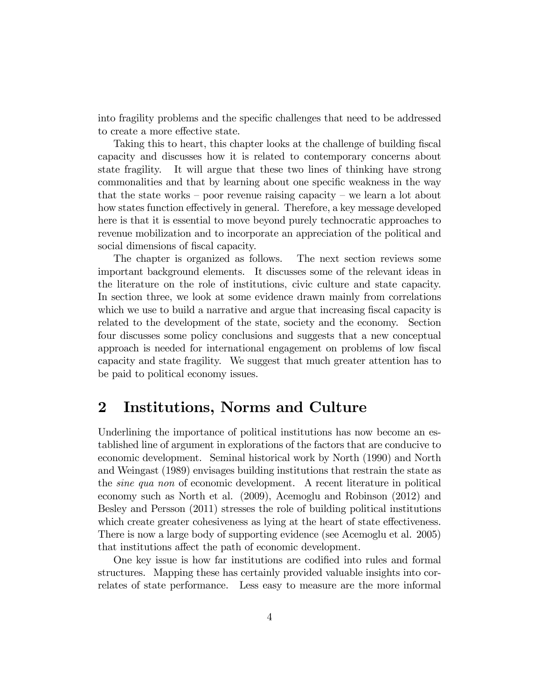into fragility problems and the specific challenges that need to be addressed to create a more effective state.

Taking this to heart, this chapter looks at the challenge of building fiscal capacity and discusses how it is related to contemporary concerns about state fragility. It will argue that these two lines of thinking have strong commonalities and that by learning about one specific weakness in the way that the state works – poor revenue raising capacity – we learn a lot about how states function effectively in general. Therefore, a key message developed here is that it is essential to move beyond purely technocratic approaches to revenue mobilization and to incorporate an appreciation of the political and social dimensions of fiscal capacity.

The chapter is organized as follows. The next section reviews some important background elements. It discusses some of the relevant ideas in the literature on the role of institutions, civic culture and state capacity. In section three, we look at some evidence drawn mainly from correlations which we use to build a narrative and argue that increasing fiscal capacity is related to the development of the state, society and the economy. Section four discusses some policy conclusions and suggests that a new conceptual approach is needed for international engagement on problems of low fiscal capacity and state fragility. We suggest that much greater attention has to be paid to political economy issues.

## 2 Institutions, Norms and Culture

Underlining the importance of political institutions has now become an established line of argument in explorations of the factors that are conducive to economic development. Seminal historical work by North (1990) and North and Weingast (1989) envisages building institutions that restrain the state as the sine qua non of economic development. A recent literature in political economy such as North et al. (2009), Acemoglu and Robinson (2012) and Besley and Persson (2011) stresses the role of building political institutions which create greater cohesiveness as lying at the heart of state effectiveness. There is now a large body of supporting evidence (see Acemoglu et al. 2005) that institutions affect the path of economic development.

One key issue is how far institutions are codified into rules and formal structures. Mapping these has certainly provided valuable insights into correlates of state performance. Less easy to measure are the more informal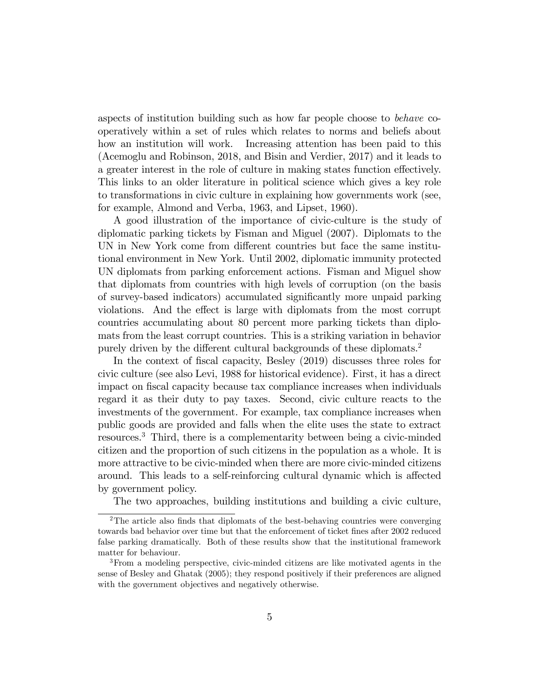aspects of institution building such as how far people choose to behave cooperatively within a set of rules which relates to norms and beliefs about how an institution will work. Increasing attention has been paid to this (Acemoglu and Robinson, 2018, and Bisin and Verdier, 2017) and it leads to a greater interest in the role of culture in making states function effectively. This links to an older literature in political science which gives a key role to transformations in civic culture in explaining how governments work (see, for example, Almond and Verba, 1963, and Lipset, 1960).

A good illustration of the importance of civic-culture is the study of diplomatic parking tickets by Fisman and Miguel (2007). Diplomats to the UN in New York come from different countries but face the same institutional environment in New York. Until 2002, diplomatic immunity protected UN diplomats from parking enforcement actions. Fisman and Miguel show that diplomats from countries with high levels of corruption (on the basis of survey-based indicators) accumulated significantly more unpaid parking violations. And the effect is large with diplomats from the most corrupt countries accumulating about 80 percent more parking tickets than diplomats from the least corrupt countries. This is a striking variation in behavior purely driven by the different cultural backgrounds of these diplomats.<sup>2</sup>

In the context of fiscal capacity, Besley (2019) discusses three roles for civic culture (see also Levi, 1988 for historical evidence). First, it has a direct impact on fiscal capacity because tax compliance increases when individuals regard it as their duty to pay taxes. Second, civic culture reacts to the investments of the government. For example, tax compliance increases when public goods are provided and falls when the elite uses the state to extract resources.<sup>3</sup> Third, there is a complementarity between being a civic-minded citizen and the proportion of such citizens in the population as a whole. It is more attractive to be civic-minded when there are more civic-minded citizens around. This leads to a self-reinforcing cultural dynamic which is affected by government policy.

The two approaches, building institutions and building a civic culture,

 $2$ The article also finds that diplomats of the best-behaving countries were converging towards bad behavior over time but that the enforcement of ticket fines after 2002 reduced false parking dramatically. Both of these results show that the institutional framework matter for behaviour.

<sup>3</sup>From a modeling perspective, civic-minded citizens are like motivated agents in the sense of Besley and Ghatak (2005); they respond positively if their preferences are aligned with the government objectives and negatively otherwise.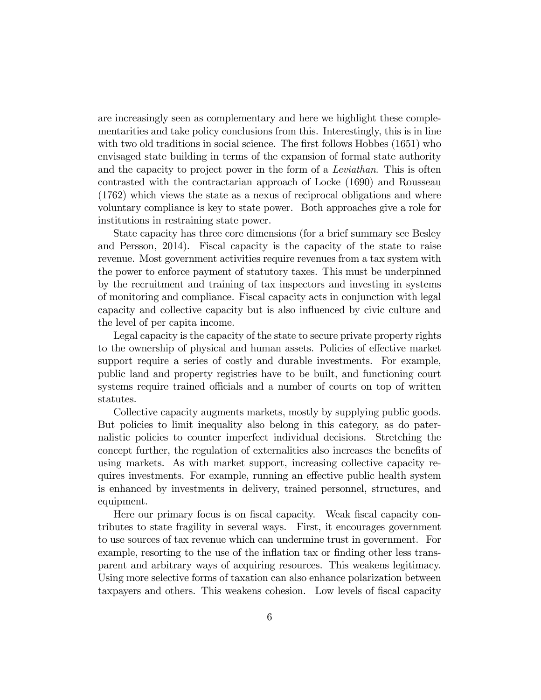are increasingly seen as complementary and here we highlight these complementarities and take policy conclusions from this. Interestingly, this is in line with two old traditions in social science. The first follows Hobbes  $(1651)$  who envisaged state building in terms of the expansion of formal state authority and the capacity to project power in the form of a *Leviathan*. This is often contrasted with the contractarian approach of Locke (1690) and Rousseau (1762) which views the state as a nexus of reciprocal obligations and where voluntary compliance is key to state power. Both approaches give a role for institutions in restraining state power.

State capacity has three core dimensions (for a brief summary see Besley and Persson, 2014). Fiscal capacity is the capacity of the state to raise revenue. Most government activities require revenues from a tax system with the power to enforce payment of statutory taxes. This must be underpinned by the recruitment and training of tax inspectors and investing in systems of monitoring and compliance. Fiscal capacity acts in conjunction with legal capacity and collective capacity but is also ináuenced by civic culture and the level of per capita income.

Legal capacity is the capacity of the state to secure private property rights to the ownership of physical and human assets. Policies of effective market support require a series of costly and durable investments. For example, public land and property registries have to be built, and functioning court systems require trained officials and a number of courts on top of written statutes.

Collective capacity augments markets, mostly by supplying public goods. But policies to limit inequality also belong in this category, as do paternalistic policies to counter imperfect individual decisions. Stretching the concept further, the regulation of externalities also increases the benefits of using markets. As with market support, increasing collective capacity requires investments. For example, running an effective public health system is enhanced by investments in delivery, trained personnel, structures, and equipment.

Here our primary focus is on fiscal capacity. Weak fiscal capacity contributes to state fragility in several ways. First, it encourages government to use sources of tax revenue which can undermine trust in government. For example, resorting to the use of the inflation tax or finding other less transparent and arbitrary ways of acquiring resources. This weakens legitimacy. Using more selective forms of taxation can also enhance polarization between taxpayers and others. This weakens cohesion. Low levels of fiscal capacity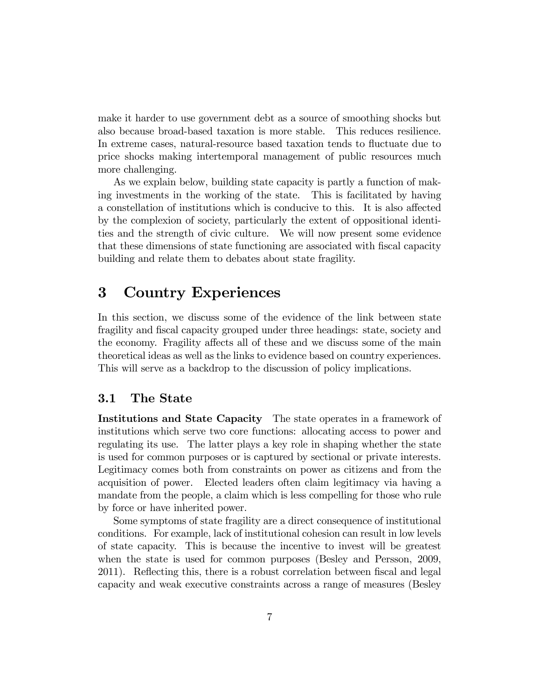make it harder to use government debt as a source of smoothing shocks but also because broad-based taxation is more stable. This reduces resilience. In extreme cases, natural-resource based taxation tends to fluctuate due to price shocks making intertemporal management of public resources much more challenging.

As we explain below, building state capacity is partly a function of making investments in the working of the state. This is facilitated by having a constellation of institutions which is conducive to this. It is also affected by the complexion of society, particularly the extent of oppositional identities and the strength of civic culture. We will now present some evidence that these dimensions of state functioning are associated with fiscal capacity building and relate them to debates about state fragility.

## 3 Country Experiences

In this section, we discuss some of the evidence of the link between state fragility and fiscal capacity grouped under three headings: state, society and the economy. Fragility affects all of these and we discuss some of the main theoretical ideas as well as the links to evidence based on country experiences. This will serve as a backdrop to the discussion of policy implications.

### 3.1 The State

Institutions and State Capacity The state operates in a framework of institutions which serve two core functions: allocating access to power and regulating its use. The latter plays a key role in shaping whether the state is used for common purposes or is captured by sectional or private interests. Legitimacy comes both from constraints on power as citizens and from the acquisition of power. Elected leaders often claim legitimacy via having a mandate from the people, a claim which is less compelling for those who rule by force or have inherited power.

Some symptoms of state fragility are a direct consequence of institutional conditions. For example, lack of institutional cohesion can result in low levels of state capacity. This is because the incentive to invest will be greatest when the state is used for common purposes (Besley and Persson, 2009, 2011). Reflecting this, there is a robust correlation between fiscal and legal capacity and weak executive constraints across a range of measures (Besley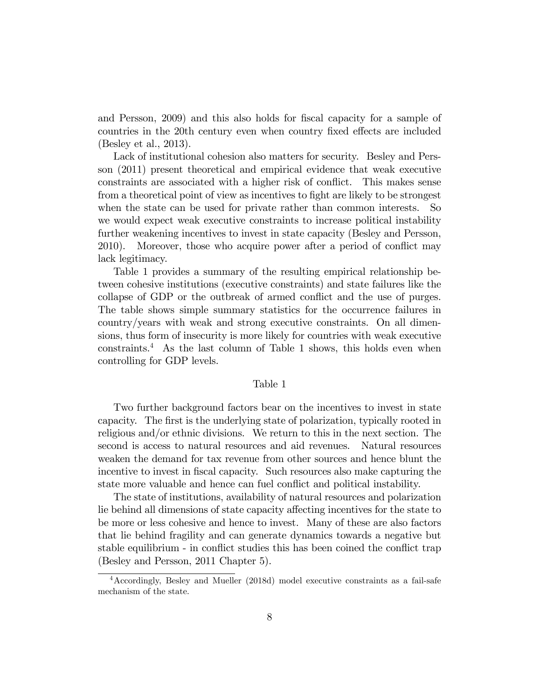and Persson, 2009) and this also holds for fiscal capacity for a sample of countries in the 20th century even when country fixed effects are included (Besley et al., 2013).

Lack of institutional cohesion also matters for security. Besley and Persson (2011) present theoretical and empirical evidence that weak executive constraints are associated with a higher risk of conflict. This makes sense from a theoretical point of view as incentives to fight are likely to be strongest when the state can be used for private rather than common interests. So we would expect weak executive constraints to increase political instability further weakening incentives to invest in state capacity (Besley and Persson, 2010). Moreover, those who acquire power after a period of conflict may lack legitimacy.

Table 1 provides a summary of the resulting empirical relationship between cohesive institutions (executive constraints) and state failures like the collapse of GDP or the outbreak of armed conflict and the use of purges. The table shows simple summary statistics for the occurrence failures in country/years with weak and strong executive constraints. On all dimensions, thus form of insecurity is more likely for countries with weak executive constraints.<sup>4</sup> As the last column of Table 1 shows, this holds even when controlling for GDP levels.

#### Table 1

Two further background factors bear on the incentives to invest in state capacity. The Örst is the underlying state of polarization, typically rooted in religious and/or ethnic divisions. We return to this in the next section. The second is access to natural resources and aid revenues. Natural resources weaken the demand for tax revenue from other sources and hence blunt the incentive to invest in fiscal capacity. Such resources also make capturing the state more valuable and hence can fuel conflict and political instability.

The state of institutions, availability of natural resources and polarization lie behind all dimensions of state capacity affecting incentives for the state to be more or less cohesive and hence to invest. Many of these are also factors that lie behind fragility and can generate dynamics towards a negative but stable equilibrium - in conflict studies this has been coined the conflict trap (Besley and Persson, 2011 Chapter 5).

<sup>4</sup>Accordingly, Besley and Mueller (2018d) model executive constraints as a fail-safe mechanism of the state.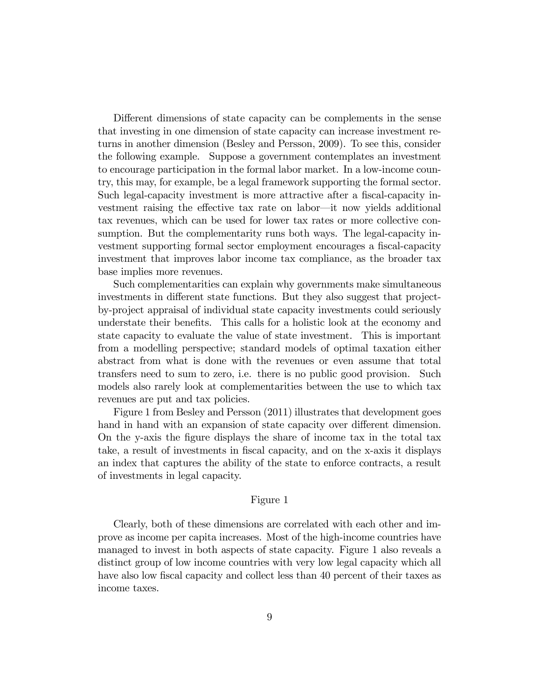Different dimensions of state capacity can be complements in the sense that investing in one dimension of state capacity can increase investment returns in another dimension (Besley and Persson, 2009). To see this, consider the following example. Suppose a government contemplates an investment to encourage participation in the formal labor market. In a low-income country, this may, for example, be a legal framework supporting the formal sector. Such legal-capacity investment is more attractive after a fiscal-capacity investment raising the effective tax rate on labor—it now yields additional tax revenues, which can be used for lower tax rates or more collective consumption. But the complementarity runs both ways. The legal-capacity investment supporting formal sector employment encourages a fiscal-capacity investment that improves labor income tax compliance, as the broader tax base implies more revenues.

Such complementarities can explain why governments make simultaneous investments in different state functions. But they also suggest that projectby-project appraisal of individual state capacity investments could seriously understate their benefits. This calls for a holistic look at the economy and state capacity to evaluate the value of state investment. This is important from a modelling perspective; standard models of optimal taxation either abstract from what is done with the revenues or even assume that total transfers need to sum to zero, i.e. there is no public good provision. Such models also rarely look at complementarities between the use to which tax revenues are put and tax policies.

Figure 1 from Besley and Persson (2011) illustrates that development goes hand in hand with an expansion of state capacity over different dimension. On the y-axis the Ögure displays the share of income tax in the total tax take, a result of investments in Öscal capacity, and on the x-axis it displays an index that captures the ability of the state to enforce contracts, a result of investments in legal capacity.

#### Figure 1

Clearly, both of these dimensions are correlated with each other and improve as income per capita increases. Most of the high-income countries have managed to invest in both aspects of state capacity. Figure 1 also reveals a distinct group of low income countries with very low legal capacity which all have also low fiscal capacity and collect less than 40 percent of their taxes as income taxes.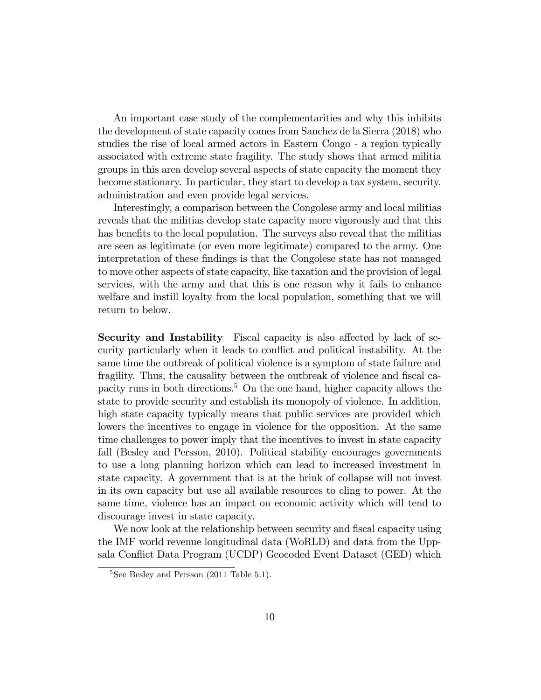An important case study of the complementarities and why this inhibits the development of state capacity comes from Sanchez de la Sierra (2018) who studies the rise of local armed actors in Eastern Congo - a region typically associated with extreme state fragility. The study shows that armed militia groups in this area develop several aspects of state capacity the moment they become stationary. In particular, they start to develop a tax system, security, administration and even provide legal services.

Interestingly, a comparison between the Congolese army and local militias reveals that the militias develop state capacity more vigorously and that this has benefits to the local population. The surveys also reveal that the militias are seen as legitimate (or even more legitimate) compared to the army. One interpretation of these Öndings is that the Congolese state has not managed to move other aspects of state capacity, like taxation and the provision of legal services, with the army and that this is one reason why it fails to enhance welfare and instill loyalty from the local population, something that we will return to below.

**Security and Instability** Fiscal capacity is also affected by lack of security particularly when it leads to conáict and political instability. At the same time the outbreak of political violence is a symptom of state failure and fragility. Thus, the causality between the outbreak of violence and fiscal capacity runs in both directions.<sup>5</sup> On the one hand, higher capacity allows the state to provide security and establish its monopoly of violence. In addition, high state capacity typically means that public services are provided which lowers the incentives to engage in violence for the opposition. At the same time challenges to power imply that the incentives to invest in state capacity fall (Besley and Persson, 2010). Political stability encourages governments to use a long planning horizon which can lead to increased investment in state capacity. A government that is at the brink of collapse will not invest in its own capacity but use all available resources to cling to power. At the same time, violence has an impact on economic activity which will tend to discourage invest in state capacity.

We now look at the relationship between security and fiscal capacity using the IMF world revenue longitudinal data (WoRLD) and data from the Uppsala Conflict Data Program (UCDP) Geocoded Event Dataset (GED) which

 $5$ See Besley and Persson (2011 Table 5.1).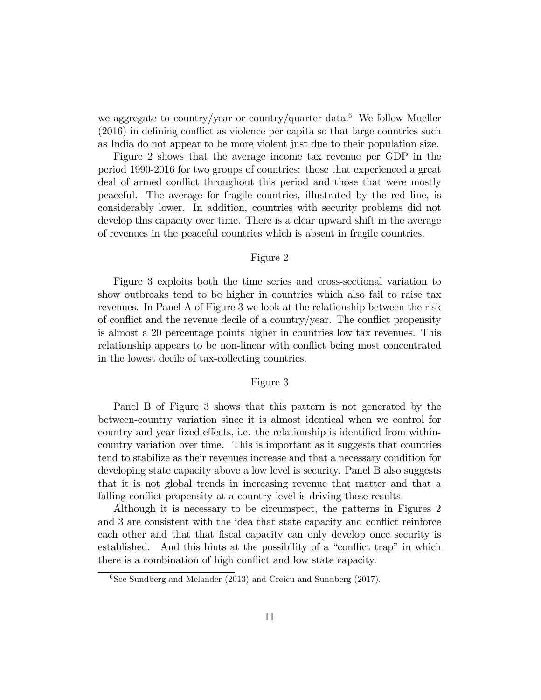we aggregate to country/year or country/quarter data.<sup>6</sup> We follow Mueller  $(2016)$  in defining conflict as violence per capita so that large countries such as India do not appear to be more violent just due to their population size.

Figure 2 shows that the average income tax revenue per GDP in the period 1990-2016 for two groups of countries: those that experienced a great deal of armed conflict throughout this period and those that were mostly peaceful. The average for fragile countries, illustrated by the red line, is considerably lower. In addition, countries with security problems did not develop this capacity over time. There is a clear upward shift in the average of revenues in the peaceful countries which is absent in fragile countries.

#### Figure 2

Figure 3 exploits both the time series and cross-sectional variation to show outbreaks tend to be higher in countries which also fail to raise tax revenues. In Panel A of Figure 3 we look at the relationship between the risk of conflict and the revenue decile of a country/year. The conflict propensity is almost a 20 percentage points higher in countries low tax revenues. This relationship appears to be non-linear with conflict being most concentrated in the lowest decile of tax-collecting countries.

#### Figure 3

Panel B of Figure 3 shows that this pattern is not generated by the between-country variation since it is almost identical when we control for country and year fixed effects, i.e. the relationship is identified from withincountry variation over time. This is important as it suggests that countries tend to stabilize as their revenues increase and that a necessary condition for developing state capacity above a low level is security. Panel B also suggests that it is not global trends in increasing revenue that matter and that a falling conflict propensity at a country level is driving these results.

Although it is necessary to be circumspect, the patterns in Figures 2 and 3 are consistent with the idea that state capacity and conflict reinforce each other and that that fiscal capacity can only develop once security is established. And this hints at the possibility of a "conflict trap" in which there is a combination of high conflict and low state capacity.

 $6$ See Sundberg and Melander (2013) and Croicu and Sundberg (2017).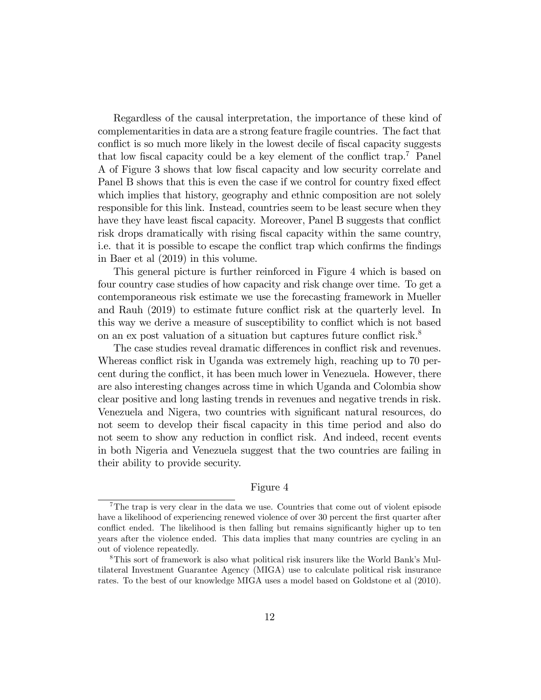Regardless of the causal interpretation, the importance of these kind of complementarities in data are a strong feature fragile countries. The fact that conflict is so much more likely in the lowest decile of fiscal capacity suggests that low fiscal capacity could be a key element of the conflict trap.<sup>7</sup> Panel A of Figure 3 shows that low Öscal capacity and low security correlate and Panel B shows that this is even the case if we control for country fixed effect which implies that history, geography and ethnic composition are not solely responsible for this link. Instead, countries seem to be least secure when they have they have least fiscal capacity. Moreover, Panel B suggests that conflict risk drops dramatically with rising fiscal capacity within the same country, i.e. that it is possible to escape the conflict trap which confirms the findings in Baer et al (2019) in this volume.

This general picture is further reinforced in Figure 4 which is based on four country case studies of how capacity and risk change over time. To get a contemporaneous risk estimate we use the forecasting framework in Mueller and Rauh (2019) to estimate future conflict risk at the quarterly level. In this way we derive a measure of susceptibility to conflict which is not based on an ex post valuation of a situation but captures future conflict risk.<sup>8</sup>

The case studies reveal dramatic differences in conflict risk and revenues. Whereas conflict risk in Uganda was extremely high, reaching up to 70 percent during the conflict, it has been much lower in Venezuela. However, there are also interesting changes across time in which Uganda and Colombia show clear positive and long lasting trends in revenues and negative trends in risk. Venezuela and Nigera, two countries with significant natural resources, do not seem to develop their Öscal capacity in this time period and also do not seem to show any reduction in conflict risk. And indeed, recent events in both Nigeria and Venezuela suggest that the two countries are failing in their ability to provide security.

#### Figure 4

<sup>7</sup>The trap is very clear in the data we use. Countries that come out of violent episode have a likelihood of experiencing renewed violence of over 30 percent the first quarter after conflict ended. The likelihood is then falling but remains significantly higher up to ten years after the violence ended. This data implies that many countries are cycling in an out of violence repeatedly.

 $8$ This sort of framework is also what political risk insurers like the World Bank's Multilateral Investment Guarantee Agency (MIGA) use to calculate political risk insurance rates. To the best of our knowledge MIGA uses a model based on Goldstone et al (2010).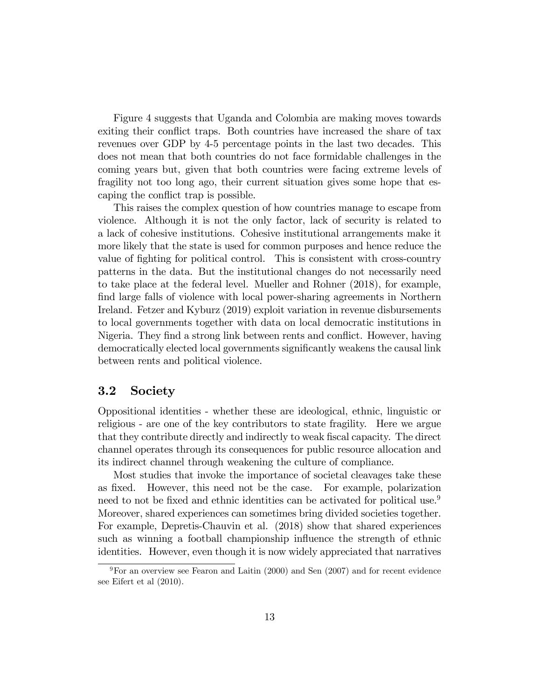Figure 4 suggests that Uganda and Colombia are making moves towards exiting their conflict traps. Both countries have increased the share of tax revenues over GDP by 4-5 percentage points in the last two decades. This does not mean that both countries do not face formidable challenges in the coming years but, given that both countries were facing extreme levels of fragility not too long ago, their current situation gives some hope that escaping the conflict trap is possible.

This raises the complex question of how countries manage to escape from violence. Although it is not the only factor, lack of security is related to a lack of cohesive institutions. Cohesive institutional arrangements make it more likely that the state is used for common purposes and hence reduce the value of fighting for political control. This is consistent with cross-country patterns in the data. But the institutional changes do not necessarily need to take place at the federal level. Mueller and Rohner (2018), for example, find large falls of violence with local power-sharing agreements in Northern Ireland. Fetzer and Kyburz (2019) exploit variation in revenue disbursements to local governments together with data on local democratic institutions in Nigeria. They find a strong link between rents and conflict. However, having democratically elected local governments significantly weakens the causal link between rents and political violence.

### 3.2 Society

Oppositional identities - whether these are ideological, ethnic, linguistic or religious - are one of the key contributors to state fragility. Here we argue that they contribute directly and indirectly to weak fiscal capacity. The direct channel operates through its consequences for public resource allocation and its indirect channel through weakening the culture of compliance.

Most studies that invoke the importance of societal cleavages take these as fixed. However, this need not be the case. For example, polarization need to not be fixed and ethnic identities can be activated for political use.<sup>9</sup> Moreover, shared experiences can sometimes bring divided societies together. For example, Depretis-Chauvin et al. (2018) show that shared experiences such as winning a football championship influence the strength of ethnic identities. However, even though it is now widely appreciated that narratives

<sup>&</sup>lt;sup>9</sup>For an overview see Fearon and Laitin (2000) and Sen (2007) and for recent evidence see Eifert et al (2010).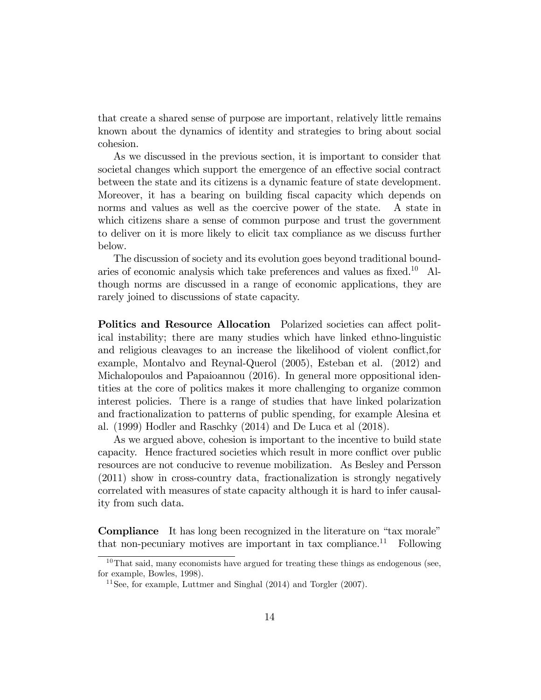that create a shared sense of purpose are important, relatively little remains known about the dynamics of identity and strategies to bring about social cohesion.

As we discussed in the previous section, it is important to consider that societal changes which support the emergence of an effective social contract between the state and its citizens is a dynamic feature of state development. Moreover, it has a bearing on building fiscal capacity which depends on norms and values as well as the coercive power of the state. A state in which citizens share a sense of common purpose and trust the government to deliver on it is more likely to elicit tax compliance as we discuss further below.

The discussion of society and its evolution goes beyond traditional boundaries of economic analysis which take preferences and values as fixed.<sup>10</sup> Although norms are discussed in a range of economic applications, they are rarely joined to discussions of state capacity.

Politics and Resource Allocation Polarized societies can affect political instability; there are many studies which have linked ethno-linguistic and religious cleavages to an increase the likelihood of violent conflict, for example, Montalvo and Reynal-Querol (2005), Esteban et al. (2012) and Michalopoulos and Papaioannou (2016). In general more oppositional identities at the core of politics makes it more challenging to organize common interest policies. There is a range of studies that have linked polarization and fractionalization to patterns of public spending, for example Alesina et al. (1999) Hodler and Raschky (2014) and De Luca et al (2018).

As we argued above, cohesion is important to the incentive to build state capacity. Hence fractured societies which result in more conflict over public resources are not conducive to revenue mobilization. As Besley and Persson (2011) show in cross-country data, fractionalization is strongly negatively correlated with measures of state capacity although it is hard to infer causality from such data.

**Compliance** It has long been recognized in the literature on "tax morale" that non-pecuniary motives are important in tax compliance.<sup>11</sup> Following

 $10$ That said, many economists have argued for treating these things as endogenous (see, for example, Bowles, 1998).

<sup>&</sup>lt;sup>11</sup>See, for example, Luttmer and Singhal  $(2014)$  and Torgler  $(2007)$ .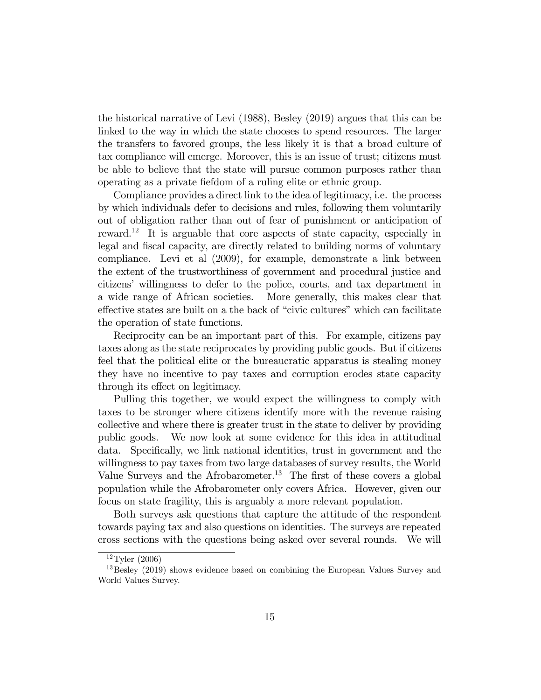the historical narrative of Levi (1988), Besley (2019) argues that this can be linked to the way in which the state chooses to spend resources. The larger the transfers to favored groups, the less likely it is that a broad culture of tax compliance will emerge. Moreover, this is an issue of trust; citizens must be able to believe that the state will pursue common purposes rather than operating as a private Öefdom of a ruling elite or ethnic group.

Compliance provides a direct link to the idea of legitimacy, i.e. the process by which individuals defer to decisions and rules, following them voluntarily out of obligation rather than out of fear of punishment or anticipation of reward.<sup>12</sup> It is arguable that core aspects of state capacity, especially in legal and fiscal capacity, are directly related to building norms of voluntary compliance. Levi et al (2009), for example, demonstrate a link between the extent of the trustworthiness of government and procedural justice and citizensí willingness to defer to the police, courts, and tax department in a wide range of African societies. More generally, this makes clear that effective states are built on a the back of "civic cultures" which can facilitate the operation of state functions.

Reciprocity can be an important part of this. For example, citizens pay taxes along as the state reciprocates by providing public goods. But if citizens feel that the political elite or the bureaucratic apparatus is stealing money they have no incentive to pay taxes and corruption erodes state capacity through its effect on legitimacy.

Pulling this together, we would expect the willingness to comply with taxes to be stronger where citizens identify more with the revenue raising collective and where there is greater trust in the state to deliver by providing public goods. We now look at some evidence for this idea in attitudinal data. Specifically, we link national identities, trust in government and the willingness to pay taxes from two large databases of survey results, the World Value Surveys and the Afrobarometer.<sup>13</sup> The first of these covers a global population while the Afrobarometer only covers Africa. However, given our focus on state fragility, this is arguably a more relevant population.

Both surveys ask questions that capture the attitude of the respondent towards paying tax and also questions on identities. The surveys are repeated cross sections with the questions being asked over several rounds. We will

 $12$ Tyler (2006)

<sup>&</sup>lt;sup>13</sup>Besley (2019) shows evidence based on combining the European Values Survey and World Values Survey.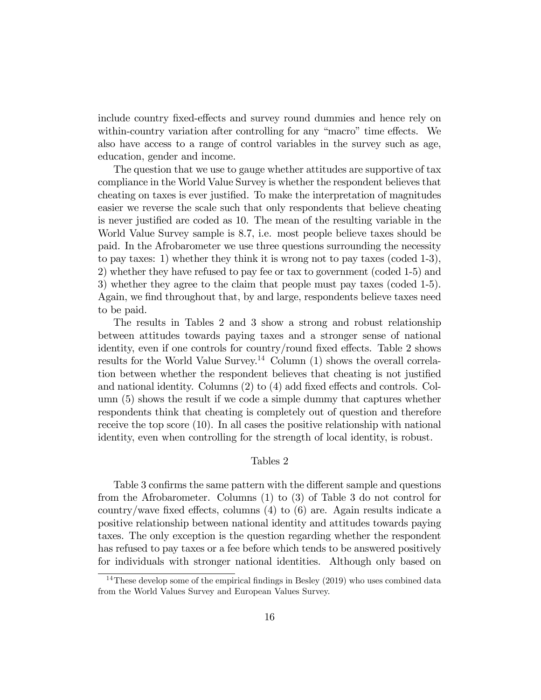include country fixed-effects and survey round dummies and hence rely on within-country variation after controlling for any "macro" time effects. We also have access to a range of control variables in the survey such as age, education, gender and income.

The question that we use to gauge whether attitudes are supportive of tax compliance in the World Value Survey is whether the respondent believes that cheating on taxes is ever justified. To make the interpretation of magnitudes easier we reverse the scale such that only respondents that believe cheating is never justified are coded as 10. The mean of the resulting variable in the World Value Survey sample is 8.7, i.e. most people believe taxes should be paid. In the Afrobarometer we use three questions surrounding the necessity to pay taxes: 1) whether they think it is wrong not to pay taxes (coded 1-3), 2) whether they have refused to pay fee or tax to government (coded 1-5) and 3) whether they agree to the claim that people must pay taxes (coded 1-5). Again, we find throughout that, by and large, respondents believe taxes need to be paid.

The results in Tables 2 and 3 show a strong and robust relationship between attitudes towards paying taxes and a stronger sense of national identity, even if one controls for country/round fixed effects. Table 2 shows results for the World Value Survey.<sup>14</sup> Column (1) shows the overall correlation between whether the respondent believes that cheating is not justified and national identity. Columns  $(2)$  to  $(4)$  add fixed effects and controls. Column (5) shows the result if we code a simple dummy that captures whether respondents think that cheating is completely out of question and therefore receive the top score (10). In all cases the positive relationship with national identity, even when controlling for the strength of local identity, is robust.

#### Tables 2

Table 3 confirms the same pattern with the different sample and questions from the Afrobarometer. Columns (1) to (3) of Table 3 do not control for country/wave fixed effects, columns  $(4)$  to  $(6)$  are. Again results indicate a positive relationship between national identity and attitudes towards paying taxes. The only exception is the question regarding whether the respondent has refused to pay taxes or a fee before which tends to be answered positively for individuals with stronger national identities. Although only based on

<sup>&</sup>lt;sup>14</sup>These develop some of the empirical findings in Besley (2019) who uses combined data from the World Values Survey and European Values Survey.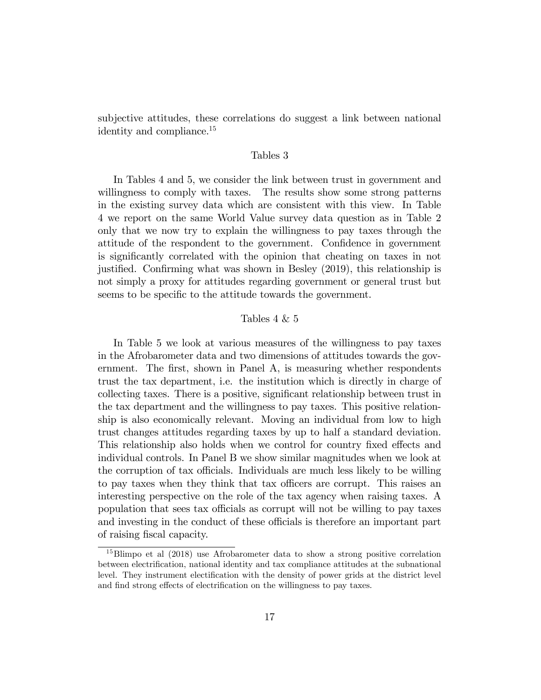subjective attitudes, these correlations do suggest a link between national identity and compliance.<sup>15</sup>

#### Tables 3

In Tables 4 and 5, we consider the link between trust in government and willingness to comply with taxes. The results show some strong patterns in the existing survey data which are consistent with this view. In Table 4 we report on the same World Value survey data question as in Table 2 only that we now try to explain the willingness to pay taxes through the attitude of the respondent to the government. Confidence in government is significantly correlated with the opinion that cheating on taxes in not justified. Confirming what was shown in Besley  $(2019)$ , this relationship is not simply a proxy for attitudes regarding government or general trust but seems to be specific to the attitude towards the government.

#### Tables 4 & 5

In Table 5 we look at various measures of the willingness to pay taxes in the Afrobarometer data and two dimensions of attitudes towards the government. The first, shown in Panel A, is measuring whether respondents trust the tax department, i.e. the institution which is directly in charge of collecting taxes. There is a positive, signiÖcant relationship between trust in the tax department and the willingness to pay taxes. This positive relationship is also economically relevant. Moving an individual from low to high trust changes attitudes regarding taxes by up to half a standard deviation. This relationship also holds when we control for country fixed effects and individual controls. In Panel B we show similar magnitudes when we look at the corruption of tax officials. Individuals are much less likely to be willing to pay taxes when they think that tax officers are corrupt. This raises an interesting perspective on the role of the tax agency when raising taxes. A population that sees tax officials as corrupt will not be willing to pay taxes and investing in the conduct of these officials is therefore an important part of raising Öscal capacity.

<sup>15</sup>Blimpo et al (2018) use Afrobarometer data to show a strong positive correlation between electrification, national identity and tax compliance attitudes at the subnational level. They instrument electification with the density of power grids at the district level and find strong effects of electrification on the willingness to pay taxes.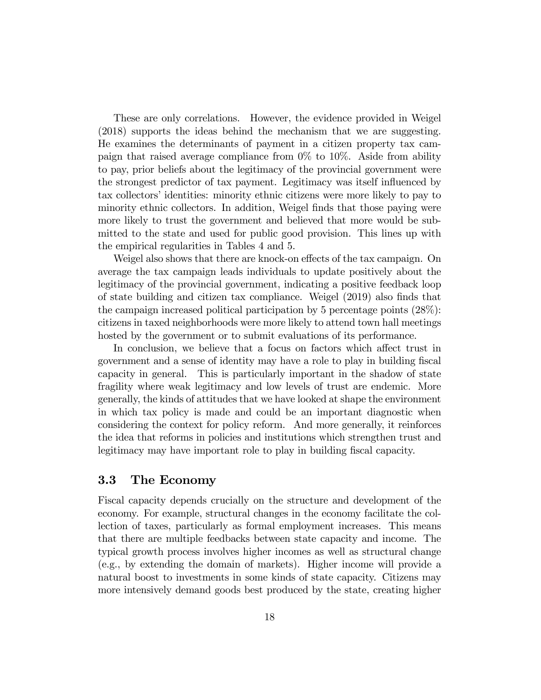These are only correlations. However, the evidence provided in Weigel (2018) supports the ideas behind the mechanism that we are suggesting. He examines the determinants of payment in a citizen property tax campaign that raised average compliance from 0% to 10%. Aside from ability to pay, prior beliefs about the legitimacy of the provincial government were the strongest predictor of tax payment. Legitimacy was itself ináuenced by tax collectors' identities: minority ethnic citizens were more likely to pay to minority ethnic collectors. In addition, Weigel finds that those paying were more likely to trust the government and believed that more would be submitted to the state and used for public good provision. This lines up with the empirical regularities in Tables 4 and 5.

Weigel also shows that there are knock-on effects of the tax campaign. On average the tax campaign leads individuals to update positively about the legitimacy of the provincial government, indicating a positive feedback loop of state building and citizen tax compliance. Weigel  $(2019)$  also finds that the campaign increased political participation by 5 percentage points (28%): citizens in taxed neighborhoods were more likely to attend town hall meetings hosted by the government or to submit evaluations of its performance.

In conclusion, we believe that a focus on factors which affect trust in government and a sense of identity may have a role to play in building fiscal capacity in general. This is particularly important in the shadow of state fragility where weak legitimacy and low levels of trust are endemic. More generally, the kinds of attitudes that we have looked at shape the environment in which tax policy is made and could be an important diagnostic when considering the context for policy reform. And more generally, it reinforces the idea that reforms in policies and institutions which strengthen trust and legitimacy may have important role to play in building fiscal capacity.

### 3.3 The Economy

Fiscal capacity depends crucially on the structure and development of the economy. For example, structural changes in the economy facilitate the collection of taxes, particularly as formal employment increases. This means that there are multiple feedbacks between state capacity and income. The typical growth process involves higher incomes as well as structural change (e.g., by extending the domain of markets). Higher income will provide a natural boost to investments in some kinds of state capacity. Citizens may more intensively demand goods best produced by the state, creating higher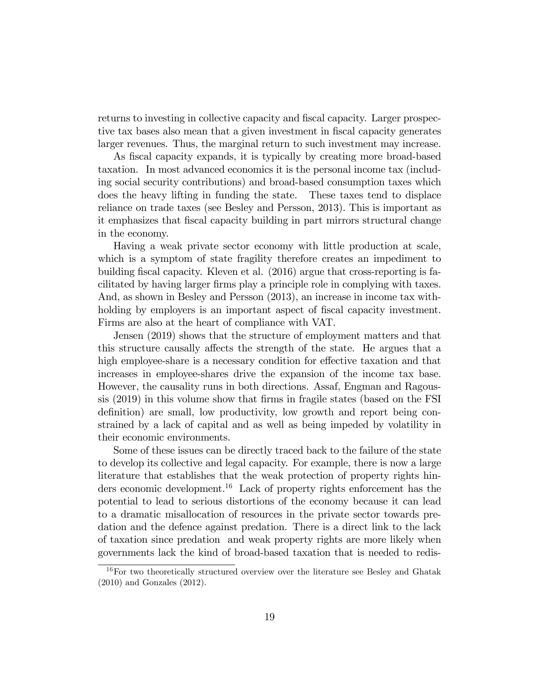returns to investing in collective capacity and fiscal capacity. Larger prospective tax bases also mean that a given investment in fiscal capacity generates larger revenues. Thus, the marginal return to such investment may increase.

As fiscal capacity expands, it is typically by creating more broad-based taxation. In most advanced economics it is the personal income tax (including social security contributions) and broad-based consumption taxes which does the heavy lifting in funding the state. These taxes tend to displace reliance on trade taxes (see Besley and Persson, 2013). This is important as it emphasizes that Öscal capacity building in part mirrors structural change in the economy.

Having a weak private sector economy with little production at scale, which is a symptom of state fragility therefore creates an impediment to building fiscal capacity. Kleven et al. (2016) argue that cross-reporting is facilitated by having larger firms play a principle role in complying with taxes. And, as shown in Besley and Persson (2013), an increase in income tax withholding by employers is an important aspect of fiscal capacity investment. Firms are also at the heart of compliance with VAT.

Jensen (2019) shows that the structure of employment matters and that this structure causally affects the strength of the state. He argues that a high employee-share is a necessary condition for effective taxation and that increases in employee-shares drive the expansion of the income tax base. However, the causality runs in both directions. Assaf, Engman and Ragoussis  $(2019)$  in this volume show that firms in fragile states (based on the FSI definition) are small, low productivity, low growth and report being constrained by a lack of capital and as well as being impeded by volatility in their economic environments.

Some of these issues can be directly traced back to the failure of the state to develop its collective and legal capacity. For example, there is now a large literature that establishes that the weak protection of property rights hinders economic development.<sup>16</sup> Lack of property rights enforcement has the potential to lead to serious distortions of the economy because it can lead to a dramatic misallocation of resources in the private sector towards predation and the defence against predation. There is a direct link to the lack of taxation since predation and weak property rights are more likely when governments lack the kind of broad-based taxation that is needed to redis-

<sup>&</sup>lt;sup>16</sup>For two theoretically structured overview over the literature see Besley and Ghatak (2010) and Gonzales (2012).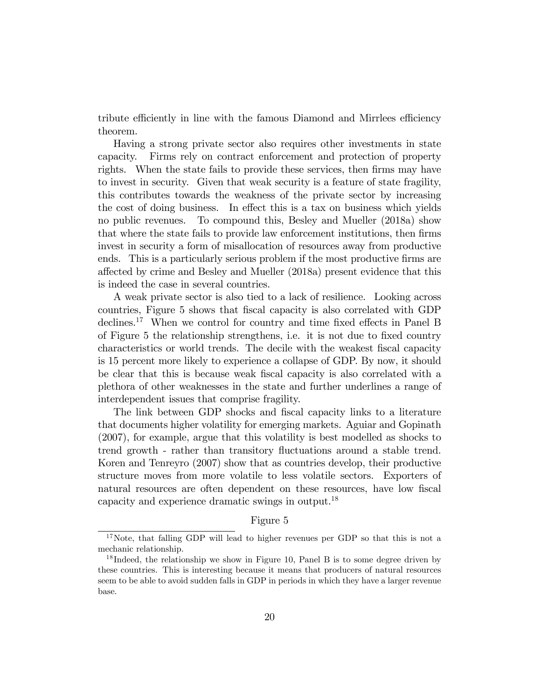tribute efficiently in line with the famous Diamond and Mirrlees efficiency theorem.

Having a strong private sector also requires other investments in state capacity. Firms rely on contract enforcement and protection of property rights. When the state fails to provide these services, then firms may have to invest in security. Given that weak security is a feature of state fragility, this contributes towards the weakness of the private sector by increasing the cost of doing business. In effect this is a tax on business which yields no public revenues. To compound this, Besley and Mueller (2018a) show that where the state fails to provide law enforcement institutions, then firms invest in security a form of misallocation of resources away from productive ends. This is a particularly serious problem if the most productive firms are affected by crime and Besley and Mueller (2018a) present evidence that this is indeed the case in several countries.

A weak private sector is also tied to a lack of resilience. Looking across countries, Figure 5 shows that Öscal capacity is also correlated with GDP declines.<sup>17</sup> When we control for country and time fixed effects in Panel B of Figure 5 the relationship strengthens, i.e. it is not due to fixed country characteristics or world trends. The decile with the weakest fiscal capacity is 15 percent more likely to experience a collapse of GDP. By now, it should be clear that this is because weak fiscal capacity is also correlated with a plethora of other weaknesses in the state and further underlines a range of interdependent issues that comprise fragility.

The link between GDP shocks and fiscal capacity links to a literature that documents higher volatility for emerging markets. Aguiar and Gopinath (2007), for example, argue that this volatility is best modelled as shocks to trend growth - rather than transitory fluctuations around a stable trend. Koren and Tenreyro (2007) show that as countries develop, their productive structure moves from more volatile to less volatile sectors. Exporters of natural resources are often dependent on these resources, have low fiscal capacity and experience dramatic swings in output.<sup>18</sup>

#### Figure 5

<sup>17</sup>Note, that falling GDP will lead to higher revenues per GDP so that this is not a mechanic relationship.

 $18$  Indeed, the relationship we show in Figure 10, Panel B is to some degree driven by these countries. This is interesting because it means that producers of natural resources seem to be able to avoid sudden falls in GDP in periods in which they have a larger revenue base.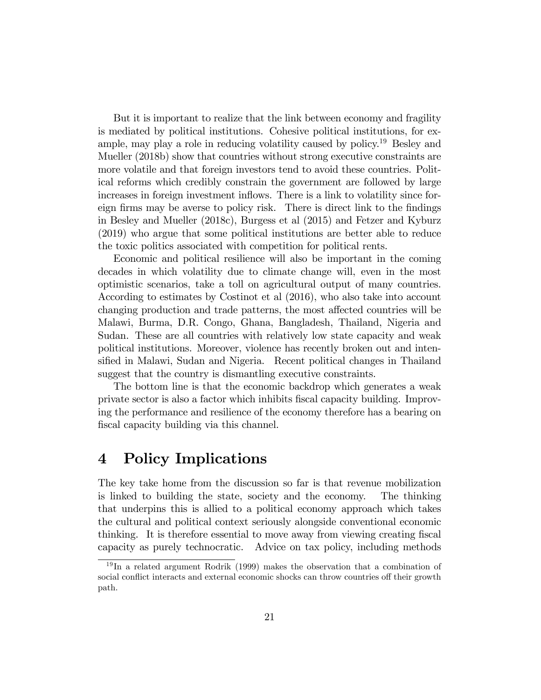But it is important to realize that the link between economy and fragility is mediated by political institutions. Cohesive political institutions, for example, may play a role in reducing volatility caused by policy.<sup>19</sup> Besley and Mueller (2018b) show that countries without strong executive constraints are more volatile and that foreign investors tend to avoid these countries. Political reforms which credibly constrain the government are followed by large increases in foreign investment inflows. There is a link to volatility since foreign firms may be averse to policy risk. There is direct link to the findings in Besley and Mueller (2018c), Burgess et al (2015) and Fetzer and Kyburz (2019) who argue that some political institutions are better able to reduce the toxic politics associated with competition for political rents.

Economic and political resilience will also be important in the coming decades in which volatility due to climate change will, even in the most optimistic scenarios, take a toll on agricultural output of many countries. According to estimates by Costinot et al (2016), who also take into account changing production and trade patterns, the most affected countries will be Malawi, Burma, D.R. Congo, Ghana, Bangladesh, Thailand, Nigeria and Sudan. These are all countries with relatively low state capacity and weak political institutions. Moreover, violence has recently broken out and intensified in Malawi, Sudan and Nigeria. Recent political changes in Thailand suggest that the country is dismantling executive constraints.

The bottom line is that the economic backdrop which generates a weak private sector is also a factor which inhibits Öscal capacity building. Improving the performance and resilience of the economy therefore has a bearing on fiscal capacity building via this channel.

## 4 Policy Implications

The key take home from the discussion so far is that revenue mobilization is linked to building the state, society and the economy. The thinking that underpins this is allied to a political economy approach which takes the cultural and political context seriously alongside conventional economic thinking. It is therefore essential to move away from viewing creating fiscal capacity as purely technocratic. Advice on tax policy, including methods

<sup>19</sup> In a related argument Rodrik (1999) makes the observation that a combination of social conflict interacts and external economic shocks can throw countries off their growth path.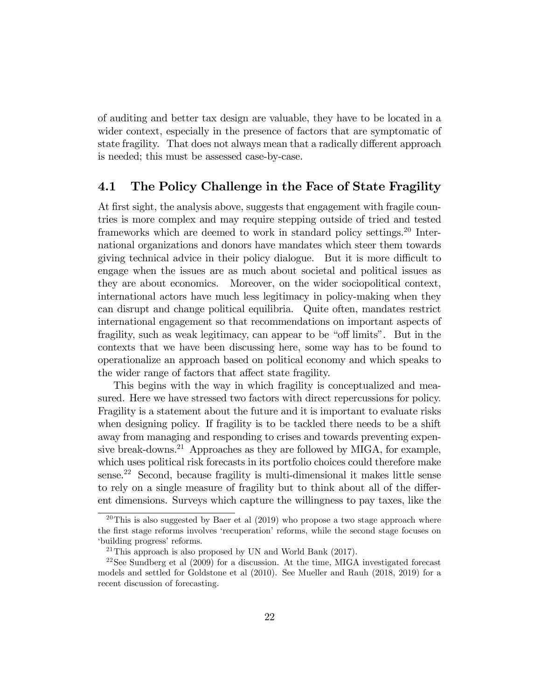of auditing and better tax design are valuable, they have to be located in a wider context, especially in the presence of factors that are symptomatic of state fragility. That does not always mean that a radically different approach is needed; this must be assessed case-by-case.

### 4.1 The Policy Challenge in the Face of State Fragility

At first sight, the analysis above, suggests that engagement with fragile countries is more complex and may require stepping outside of tried and tested frameworks which are deemed to work in standard policy settings.<sup>20</sup> International organizations and donors have mandates which steer them towards giving technical advice in their policy dialogue. But it is more difficult to engage when the issues are as much about societal and political issues as they are about economics. Moreover, on the wider sociopolitical context, international actors have much less legitimacy in policy-making when they can disrupt and change political equilibria. Quite often, mandates restrict international engagement so that recommendations on important aspects of fragility, such as weak legitimacy, can appear to be "off limits". But in the contexts that we have been discussing here, some way has to be found to operationalize an approach based on political economy and which speaks to the wider range of factors that affect state fragility.

This begins with the way in which fragility is conceptualized and measured. Here we have stressed two factors with direct repercussions for policy. Fragility is a statement about the future and it is important to evaluate risks when designing policy. If fragility is to be tackled there needs to be a shift away from managing and responding to crises and towards preventing expensive break-downs.<sup>21</sup> Approaches as they are followed by MIGA, for example, which uses political risk forecasts in its portfolio choices could therefore make sense.<sup>22</sup> Second, because fragility is multi-dimensional it makes little sense to rely on a single measure of fragility but to think about all of the different dimensions. Surveys which capture the willingness to pay taxes, like the

 $20$ This is also suggested by Baer et al (2019) who propose a two stage approach where the first stage reforms involves 'recuperation' reforms, while the second stage focuses on 'building progress' reforms.

 $^{21}$ This approach is also proposed by UN and World Bank (2017).

<sup>&</sup>lt;sup>22</sup>See Sundberg et al  $(2009)$  for a discussion. At the time, MIGA investigated forecast models and settled for Goldstone et al (2010). See Mueller and Rauh (2018, 2019) for a recent discussion of forecasting.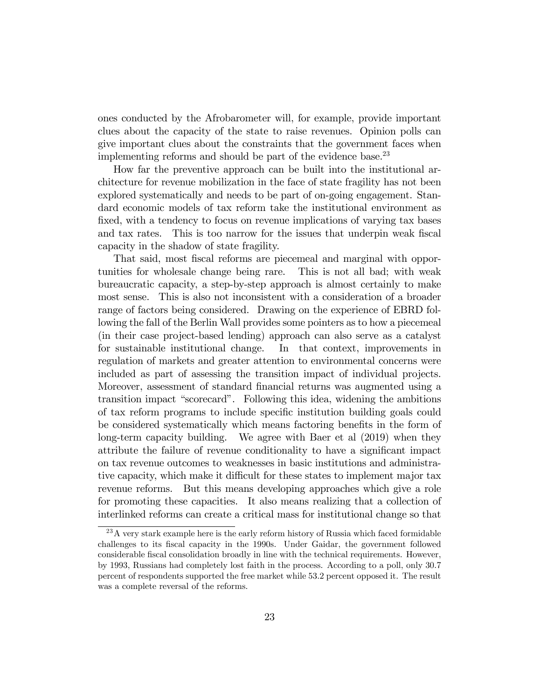ones conducted by the Afrobarometer will, for example, provide important clues about the capacity of the state to raise revenues. Opinion polls can give important clues about the constraints that the government faces when implementing reforms and should be part of the evidence base.<sup>23</sup>

How far the preventive approach can be built into the institutional architecture for revenue mobilization in the face of state fragility has not been explored systematically and needs to be part of on-going engagement. Standard economic models of tax reform take the institutional environment as fixed, with a tendency to focus on revenue implications of varying tax bases and tax rates. This is too narrow for the issues that underpin weak fiscal capacity in the shadow of state fragility.

That said, most fiscal reforms are piecemeal and marginal with opportunities for wholesale change being rare. This is not all bad; with weak bureaucratic capacity, a step-by-step approach is almost certainly to make most sense. This is also not inconsistent with a consideration of a broader range of factors being considered. Drawing on the experience of EBRD following the fall of the Berlin Wall provides some pointers as to how a piecemeal (in their case project-based lending) approach can also serve as a catalyst for sustainable institutional change. In that context, improvements in regulation of markets and greater attention to environmental concerns were included as part of assessing the transition impact of individual projects. Moreover, assessment of standard financial returns was augmented using a transition impact "scorecard". Following this idea, widening the ambitions of tax reform programs to include specific institution building goals could be considered systematically which means factoring benefits in the form of long-term capacity building. We agree with Baer et al (2019) when they attribute the failure of revenue conditionality to have a significant impact on tax revenue outcomes to weaknesses in basic institutions and administrative capacity, which make it difficult for these states to implement major tax revenue reforms. But this means developing approaches which give a role for promoting these capacities. It also means realizing that a collection of interlinked reforms can create a critical mass for institutional change so that

 $^{23}$ A very stark example here is the early reform history of Russia which faced formidable challenges to its Öscal capacity in the 1990s. Under Gaidar, the government followed considerable Öscal consolidation broadly in line with the technical requirements. However, by 1993, Russians had completely lost faith in the process. According to a poll, only 30.7 percent of respondents supported the free market while 53.2 percent opposed it. The result was a complete reversal of the reforms.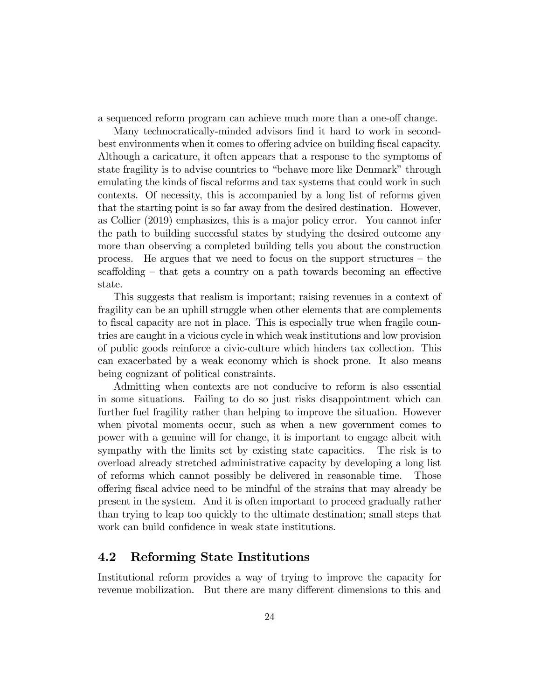a sequenced reform program can achieve much more than a one-off change.

Many technocratically-minded advisors find it hard to work in secondbest environments when it comes to offering advice on building fiscal capacity. Although a caricature, it often appears that a response to the symptoms of state fragility is to advise countries to "behave more like Denmark" through emulating the kinds of fiscal reforms and tax systems that could work in such contexts. Of necessity, this is accompanied by a long list of reforms given that the starting point is so far away from the desired destination. However, as Collier (2019) emphasizes, this is a major policy error. You cannot infer the path to building successful states by studying the desired outcome any more than observing a completed building tells you about the construction process. He argues that we need to focus on the support structures  $-$  the scaffolding  $-$  that gets a country on a path towards becoming an effective state.

This suggests that realism is important; raising revenues in a context of fragility can be an uphill struggle when other elements that are complements to fiscal capacity are not in place. This is especially true when fragile countries are caught in a vicious cycle in which weak institutions and low provision of public goods reinforce a civic-culture which hinders tax collection. This can exacerbated by a weak economy which is shock prone. It also means being cognizant of political constraints.

Admitting when contexts are not conducive to reform is also essential in some situations. Failing to do so just risks disappointment which can further fuel fragility rather than helping to improve the situation. However when pivotal moments occur, such as when a new government comes to power with a genuine will for change, it is important to engage albeit with sympathy with the limits set by existing state capacities. The risk is to overload already stretched administrative capacity by developing a long list of reforms which cannot possibly be delivered in reasonable time. Those o§ering Öscal advice need to be mindful of the strains that may already be present in the system. And it is often important to proceed gradually rather than trying to leap too quickly to the ultimate destination; small steps that work can build confidence in weak state institutions.

### 4.2 Reforming State Institutions

Institutional reform provides a way of trying to improve the capacity for revenue mobilization. But there are many different dimensions to this and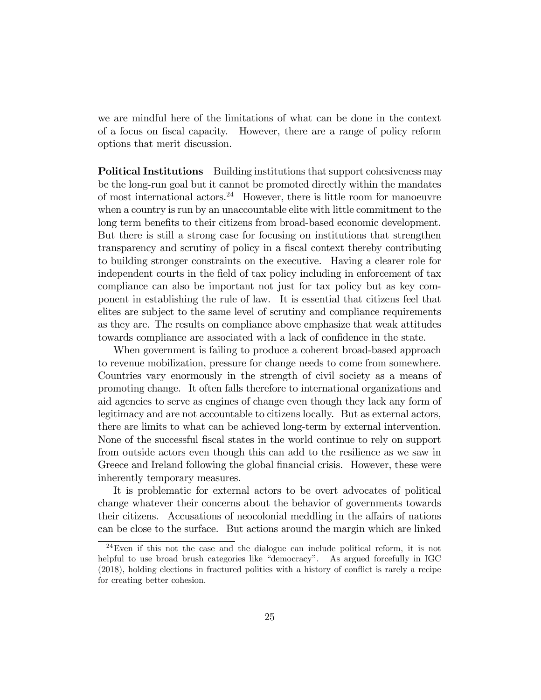we are mindful here of the limitations of what can be done in the context of a focus on Öscal capacity. However, there are a range of policy reform options that merit discussion.

Political Institutions Building institutions that support cohesiveness may be the long-run goal but it cannot be promoted directly within the mandates of most international actors.<sup>24</sup> However, there is little room for manoeuvre when a country is run by an unaccountable elite with little commitment to the long term benefits to their citizens from broad-based economic development. But there is still a strong case for focusing on institutions that strengthen transparency and scrutiny of policy in a fiscal context thereby contributing to building stronger constraints on the executive. Having a clearer role for independent courts in the field of tax policy including in enforcement of tax compliance can also be important not just for tax policy but as key component in establishing the rule of law. It is essential that citizens feel that elites are subject to the same level of scrutiny and compliance requirements as they are. The results on compliance above emphasize that weak attitudes towards compliance are associated with a lack of confidence in the state.

When government is failing to produce a coherent broad-based approach to revenue mobilization, pressure for change needs to come from somewhere. Countries vary enormously in the strength of civil society as a means of promoting change. It often falls therefore to international organizations and aid agencies to serve as engines of change even though they lack any form of legitimacy and are not accountable to citizens locally. But as external actors, there are limits to what can be achieved long-term by external intervention. None of the successful Öscal states in the world continue to rely on support from outside actors even though this can add to the resilience as we saw in Greece and Ireland following the global financial crisis. However, these were inherently temporary measures.

It is problematic for external actors to be overt advocates of political change whatever their concerns about the behavior of governments towards their citizens. Accusations of neocolonial meddling in the affairs of nations can be close to the surface. But actions around the margin which are linked

<sup>24</sup>Even if this not the case and the dialogue can include political reform, it is not helpful to use broad brush categories like "democracy". As argued forcefully in IGC (2018), holding elections in fractured polities with a history of conflict is rarely a recipe for creating better cohesion.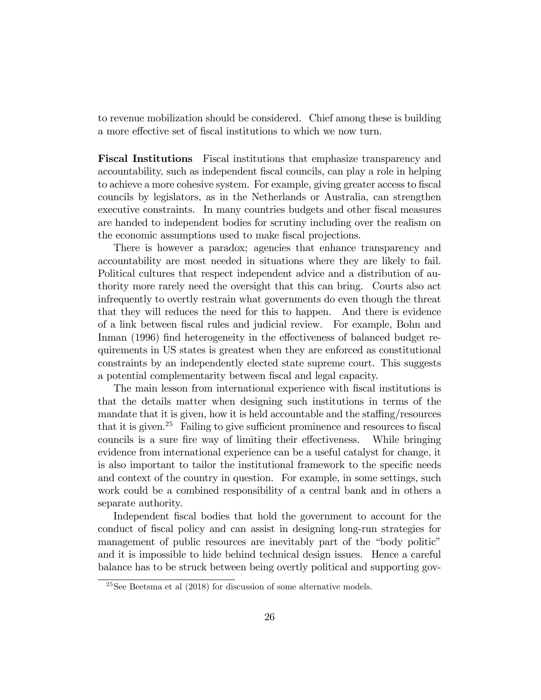to revenue mobilization should be considered. Chief among these is building a more effective set of fiscal institutions to which we now turn.

Fiscal Institutions Fiscal institutions that emphasize transparency and accountability, such as independent fiscal councils, can play a role in helping to achieve a more cohesive system. For example, giving greater access to fiscal councils by legislators, as in the Netherlands or Australia, can strengthen executive constraints. In many countries budgets and other fiscal measures are handed to independent bodies for scrutiny including over the realism on the economic assumptions used to make fiscal projections.

There is however a paradox; agencies that enhance transparency and accountability are most needed in situations where they are likely to fail. Political cultures that respect independent advice and a distribution of authority more rarely need the oversight that this can bring. Courts also act infrequently to overtly restrain what governments do even though the threat that they will reduces the need for this to happen. And there is evidence of a link between Öscal rules and judicial review. For example, Bohn and Inman (1996) find heterogeneity in the effectiveness of balanced budget requirements in US states is greatest when they are enforced as constitutional constraints by an independently elected state supreme court. This suggests a potential complementarity between fiscal and legal capacity.

The main lesson from international experience with fiscal institutions is that the details matter when designing such institutions in terms of the mandate that it is given, how it is held accountable and the staffing/resources that it is given.<sup>25</sup> Failing to give sufficient prominence and resources to fiscal councils is a sure fire way of limiting their effectiveness. While bringing evidence from international experience can be a useful catalyst for change, it is also important to tailor the institutional framework to the specific needs and context of the country in question. For example, in some settings, such work could be a combined responsibility of a central bank and in others a separate authority.

Independent fiscal bodies that hold the government to account for the conduct of Öscal policy and can assist in designing long-run strategies for management of public resources are inevitably part of the "body politic" and it is impossible to hide behind technical design issues. Hence a careful balance has to be struck between being overtly political and supporting gov-

 $25$ See Beetsma et al  $(2018)$  for discussion of some alternative models.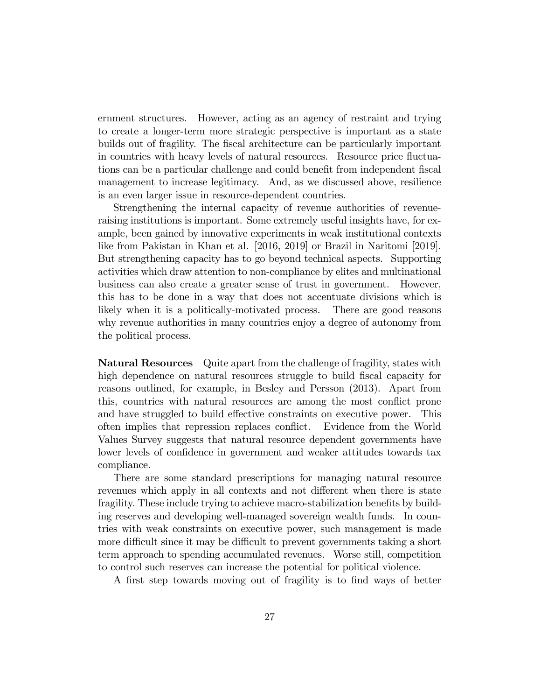ernment structures. However, acting as an agency of restraint and trying to create a longer-term more strategic perspective is important as a state builds out of fragility. The fiscal architecture can be particularly important in countries with heavy levels of natural resources. Resource price fluctuations can be a particular challenge and could benefit from independent fiscal management to increase legitimacy. And, as we discussed above, resilience is an even larger issue in resource-dependent countries.

Strengthening the internal capacity of revenue authorities of revenueraising institutions is important. Some extremely useful insights have, for example, been gained by innovative experiments in weak institutional contexts like from Pakistan in Khan et al. [2016, 2019] or Brazil in Naritomi [2019]. But strengthening capacity has to go beyond technical aspects. Supporting activities which draw attention to non-compliance by elites and multinational business can also create a greater sense of trust in government. However, this has to be done in a way that does not accentuate divisions which is likely when it is a politically-motivated process. There are good reasons why revenue authorities in many countries enjoy a degree of autonomy from the political process.

Natural Resources Quite apart from the challenge of fragility, states with high dependence on natural resources struggle to build fiscal capacity for reasons outlined, for example, in Besley and Persson (2013). Apart from this, countries with natural resources are among the most conflict prone and have struggled to build effective constraints on executive power. This often implies that repression replaces conflict. Evidence from the World Values Survey suggests that natural resource dependent governments have lower levels of confidence in government and weaker attitudes towards tax compliance.

There are some standard prescriptions for managing natural resource revenues which apply in all contexts and not different when there is state fragility. These include trying to achieve macro-stabilization benefits by building reserves and developing well-managed sovereign wealth funds. In countries with weak constraints on executive power, such management is made more difficult since it may be difficult to prevent governments taking a short term approach to spending accumulated revenues. Worse still, competition to control such reserves can increase the potential for political violence.

A first step towards moving out of fragility is to find ways of better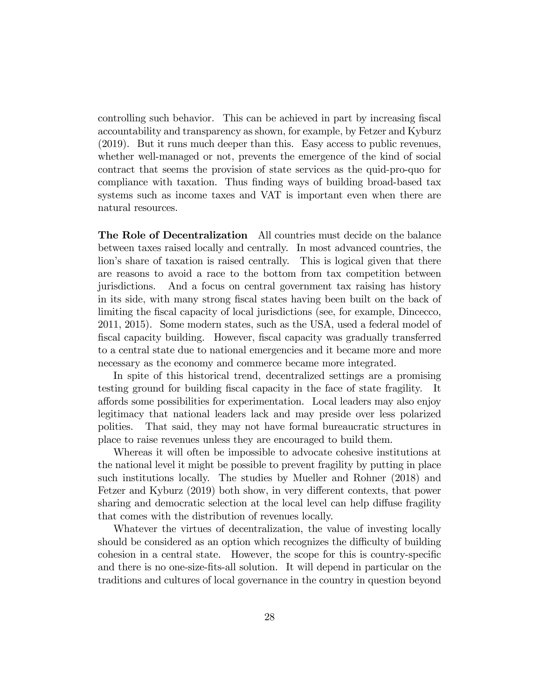controlling such behavior. This can be achieved in part by increasing fiscal accountability and transparency as shown, for example, by Fetzer and Kyburz (2019). But it runs much deeper than this. Easy access to public revenues, whether well-managed or not, prevents the emergence of the kind of social contract that seems the provision of state services as the quid-pro-quo for compliance with taxation. Thus finding ways of building broad-based tax systems such as income taxes and VAT is important even when there are natural resources.

The Role of Decentralization All countries must decide on the balance between taxes raised locally and centrally. In most advanced countries, the lion's share of taxation is raised centrally. This is logical given that there are reasons to avoid a race to the bottom from tax competition between jurisdictions. And a focus on central government tax raising has history in its side, with many strong fiscal states having been built on the back of limiting the Öscal capacity of local jurisdictions (see, for example, Dincecco, 2011, 2015). Some modern states, such as the USA, used a federal model of fiscal capacity building. However, fiscal capacity was gradually transferred to a central state due to national emergencies and it became more and more necessary as the economy and commerce became more integrated.

In spite of this historical trend, decentralized settings are a promising testing ground for building fiscal capacity in the face of state fragility. It a§ords some possibilities for experimentation. Local leaders may also enjoy legitimacy that national leaders lack and may preside over less polarized polities. That said, they may not have formal bureaucratic structures in place to raise revenues unless they are encouraged to build them.

Whereas it will often be impossible to advocate cohesive institutions at the national level it might be possible to prevent fragility by putting in place such institutions locally. The studies by Mueller and Rohner (2018) and Fetzer and Kyburz (2019) both show, in very different contexts, that power sharing and democratic selection at the local level can help diffuse fragility that comes with the distribution of revenues locally.

Whatever the virtues of decentralization, the value of investing locally should be considered as an option which recognizes the difficulty of building cohesion in a central state. However, the scope for this is country-specific and there is no one-size-Öts-all solution. It will depend in particular on the traditions and cultures of local governance in the country in question beyond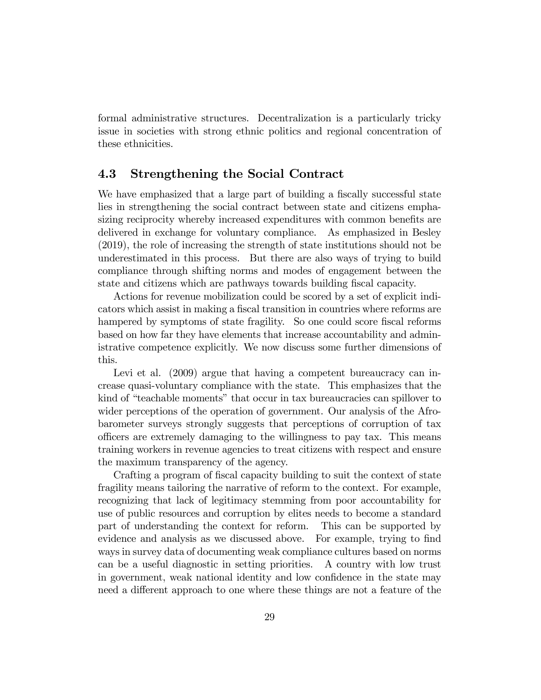formal administrative structures. Decentralization is a particularly tricky issue in societies with strong ethnic politics and regional concentration of these ethnicities.

### 4.3 Strengthening the Social Contract

We have emphasized that a large part of building a fiscally successful state lies in strengthening the social contract between state and citizens emphasizing reciprocity whereby increased expenditures with common benefits are delivered in exchange for voluntary compliance. As emphasized in Besley (2019), the role of increasing the strength of state institutions should not be underestimated in this process. But there are also ways of trying to build compliance through shifting norms and modes of engagement between the state and citizens which are pathways towards building fiscal capacity.

Actions for revenue mobilization could be scored by a set of explicit indicators which assist in making a fiscal transition in countries where reforms are hampered by symptoms of state fragility. So one could score fiscal reforms based on how far they have elements that increase accountability and administrative competence explicitly. We now discuss some further dimensions of this.

Levi et al.  $(2009)$  argue that having a competent bureaucracy can increase quasi-voluntary compliance with the state. This emphasizes that the kind of "teachable moments" that occur in tax bureaucracies can spillover to wider perceptions of the operation of government. Our analysis of the Afrobarometer surveys strongly suggests that perceptions of corruption of tax o¢ cers are extremely damaging to the willingness to pay tax. This means training workers in revenue agencies to treat citizens with respect and ensure the maximum transparency of the agency.

Crafting a program of fiscal capacity building to suit the context of state fragility means tailoring the narrative of reform to the context. For example, recognizing that lack of legitimacy stemming from poor accountability for use of public resources and corruption by elites needs to become a standard part of understanding the context for reform. This can be supported by evidence and analysis as we discussed above. For example, trying to find ways in survey data of documenting weak compliance cultures based on norms can be a useful diagnostic in setting priorities. A country with low trust in government, weak national identity and low confidence in the state may need a different approach to one where these things are not a feature of the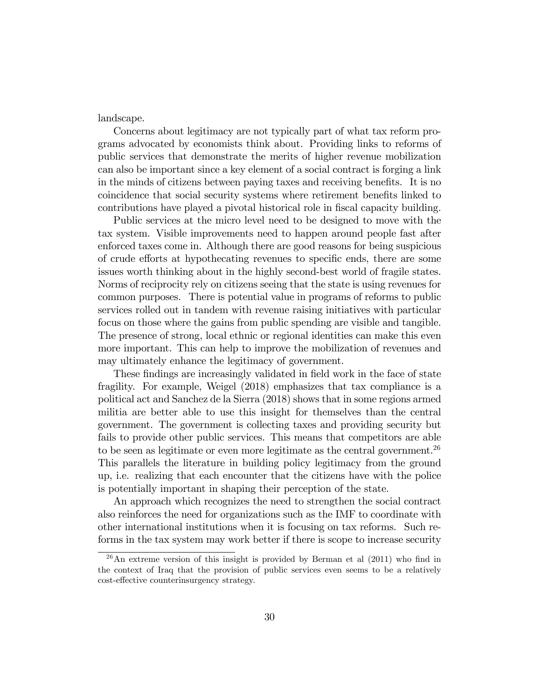landscape.

Concerns about legitimacy are not typically part of what tax reform programs advocated by economists think about. Providing links to reforms of public services that demonstrate the merits of higher revenue mobilization can also be important since a key element of a social contract is forging a link in the minds of citizens between paying taxes and receiving benefits. It is no coincidence that social security systems where retirement benefits linked to contributions have played a pivotal historical role in fiscal capacity building.

Public services at the micro level need to be designed to move with the tax system. Visible improvements need to happen around people fast after enforced taxes come in. Although there are good reasons for being suspicious of crude efforts at hypothecating revenues to specific ends, there are some issues worth thinking about in the highly second-best world of fragile states. Norms of reciprocity rely on citizens seeing that the state is using revenues for common purposes. There is potential value in programs of reforms to public services rolled out in tandem with revenue raising initiatives with particular focus on those where the gains from public spending are visible and tangible. The presence of strong, local ethnic or regional identities can make this even more important. This can help to improve the mobilization of revenues and may ultimately enhance the legitimacy of government.

These findings are increasingly validated in field work in the face of state fragility. For example, Weigel (2018) emphasizes that tax compliance is a political act and Sanchez de la Sierra (2018) shows that in some regions armed militia are better able to use this insight for themselves than the central government. The government is collecting taxes and providing security but fails to provide other public services. This means that competitors are able to be seen as legitimate or even more legitimate as the central government.<sup>26</sup> This parallels the literature in building policy legitimacy from the ground up, i.e. realizing that each encounter that the citizens have with the police is potentially important in shaping their perception of the state.

An approach which recognizes the need to strengthen the social contract also reinforces the need for organizations such as the IMF to coordinate with other international institutions when it is focusing on tax reforms. Such reforms in the tax system may work better if there is scope to increase security

 $26$ An extreme version of this insight is provided by Berman et al  $(2011)$  who find in the context of Iraq that the provision of public services even seems to be a relatively cost-effective counterinsurgency strategy.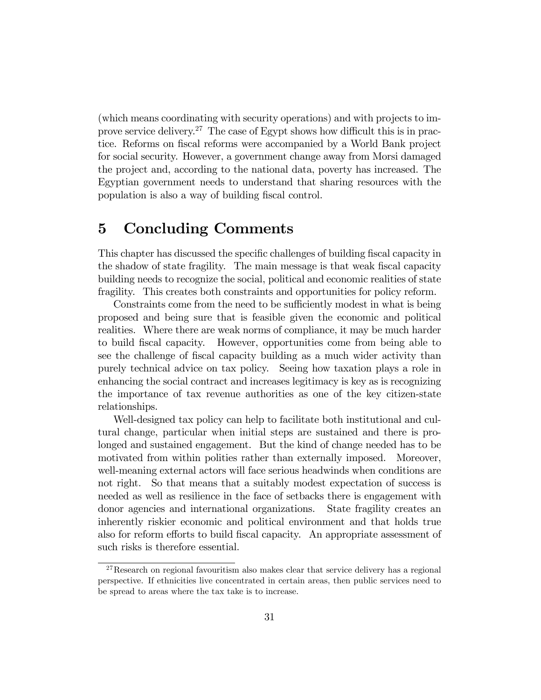(which means coordinating with security operations) and with projects to improve service delivery.<sup>27</sup> The case of Egypt shows how difficult this is in practice. Reforms on fiscal reforms were accompanied by a World Bank project for social security. However, a government change away from Morsi damaged the project and, according to the national data, poverty has increased. The Egyptian government needs to understand that sharing resources with the population is also a way of building fiscal control.

## 5 Concluding Comments

This chapter has discussed the specific challenges of building fiscal capacity in the shadow of state fragility. The main message is that weak fiscal capacity building needs to recognize the social, political and economic realities of state fragility. This creates both constraints and opportunities for policy reform.

Constraints come from the need to be sufficiently modest in what is being proposed and being sure that is feasible given the economic and political realities. Where there are weak norms of compliance, it may be much harder to build Öscal capacity. However, opportunities come from being able to see the challenge of fiscal capacity building as a much wider activity than purely technical advice on tax policy. Seeing how taxation plays a role in enhancing the social contract and increases legitimacy is key as is recognizing the importance of tax revenue authorities as one of the key citizen-state relationships.

Well-designed tax policy can help to facilitate both institutional and cultural change, particular when initial steps are sustained and there is prolonged and sustained engagement. But the kind of change needed has to be motivated from within polities rather than externally imposed. Moreover, well-meaning external actors will face serious headwinds when conditions are not right. So that means that a suitably modest expectation of success is needed as well as resilience in the face of setbacks there is engagement with donor agencies and international organizations. State fragility creates an inherently riskier economic and political environment and that holds true also for reform efforts to build fiscal capacity. An appropriate assessment of such risks is therefore essential.

 $^{27}$ Research on regional favouritism also makes clear that service delivery has a regional perspective. If ethnicities live concentrated in certain areas, then public services need to be spread to areas where the tax take is to increase.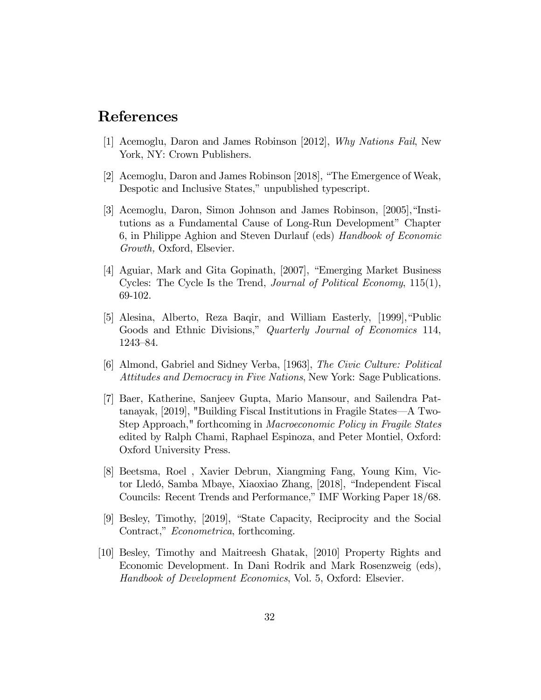## References

- [1] Acemoglu, Daron and James Robinson [2012], Why Nations Fail, New York, NY: Crown Publishers.
- [2] Acemoglu, Daron and James Robinson [2018], "The Emergence of Weak, Despotic and Inclusive States," unpublished typescript.
- [3] Acemoglu, Daron, Simon Johnson and James Robinson, [2005], "Institutions as a Fundamental Cause of Long-Run Development" Chapter 6, in Philippe Aghion and Steven Durlauf (eds) Handbook of Economic Growth, Oxford, Elsevier.
- [4] Aguiar, Mark and Gita Gopinath, [2007], "Emerging Market Business" Cycles: The Cycle Is the Trend, Journal of Political Economy, 115(1), 69-102.
- [5] Alesina, Alberto, Reza Baqir, and William Easterly, [1999], "Public Goods and Ethnic Divisions," Quarterly Journal of Economics 114, 1243–84.
- [6] Almond, Gabriel and Sidney Verba, [1963], The Civic Culture: Political Attitudes and Democracy in Five Nations, New York: Sage Publications.
- [7] Baer, Katherine, Sanjeev Gupta, Mario Mansour, and Sailendra Pat- $\tanayak$ , [2019], "Building Fiscal Institutions in Fragile States—A Two-Step Approach," forthcoming in Macroeconomic Policy in Fragile States edited by Ralph Chami, Raphael Espinoza, and Peter Montiel, Oxford: Oxford University Press.
- [8] Beetsma, Roel , Xavier Debrun, Xiangming Fang, Young Kim, Victor Lledó, Samba Mbaye, Xiaoxiao Zhang, [2018], "Independent Fiscal Councils: Recent Trends and Performance," IMF Working Paper 18/68.
- [9] Besley, Timothy, [2019], "State Capacity, Reciprocity and the Social Contract," *Econometrica*, forthcoming.
- [10] Besley, Timothy and Maitreesh Ghatak, [2010] Property Rights and Economic Development. In Dani Rodrik and Mark Rosenzweig (eds), Handbook of Development Economics, Vol. 5, Oxford: Elsevier.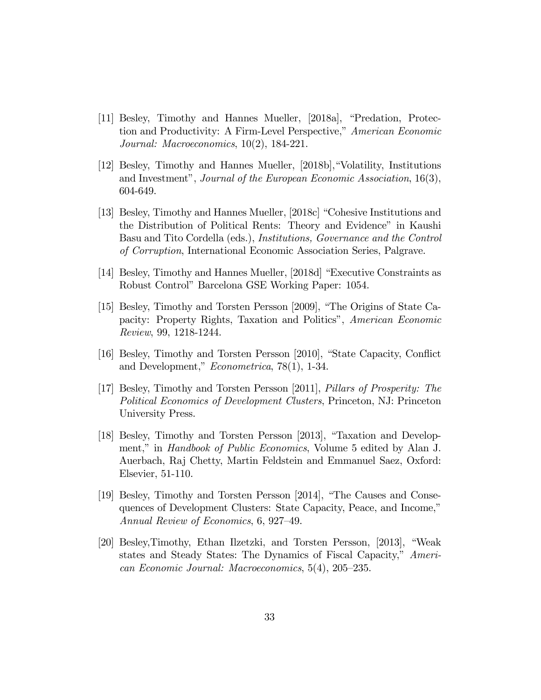- [11] Besley, Timothy and Hannes Mueller, [2018a], "Predation, Protection and Productivity: A Firm-Level Perspective," American Economic Journal: Macroeconomics, 10(2), 184-221.
- $[12]$  Besley, Timothy and Hannes Mueller,  $[2018b]$ , Volatility, Institutions and Investment", Journal of the European Economic Association,  $16(3)$ , 604-649.
- [13] Besley, Timothy and Hannes Mueller, [2018c] "Cohesive Institutions and the Distribution of Political Rents: Theory and Evidence" in Kaushi Basu and Tito Cordella (eds.), Institutions, Governance and the Control of Corruption, International Economic Association Series, Palgrave.
- [14] Besley, Timothy and Hannes Mueller, [2018d] "Executive Constraints as Robust Control" Barcelona GSE Working Paper: 1054.
- [15] Besley, Timothy and Torsten Persson [2009], "The Origins of State Capacity: Property Rights, Taxation and Politics", American Economic Review, 99, 1218-1244.
- [16] Besley, Timothy and Torsten Persson [2010], "State Capacity, Conflict and Development,"  $Econometrica$ , 78(1), 1-34.
- [17] Besley, Timothy and Torsten Persson [2011], Pillars of Prosperity: The Political Economics of Development Clusters, Princeton, NJ: Princeton University Press.
- [18] Besley, Timothy and Torsten Persson [2013], "Taxation and Development," in *Handbook of Public Economics*, Volume 5 edited by Alan J. Auerbach, Raj Chetty, Martin Feldstein and Emmanuel Saez, Oxford: Elsevier, 51-110.
- [19] Besley, Timothy and Torsten Persson [2014], "The Causes and Consequences of Development Clusters: State Capacity, Peace, and Income," Annual Review of Economics,  $6, 927-49$ .
- [20] Besley, Timothy, Ethan Ilzetzki, and Torsten Persson, [2013], "Weak states and Steady States: The Dynamics of Fiscal Capacity," American Economic Journal: Macroeconomics,  $5(4)$ ,  $205-235$ .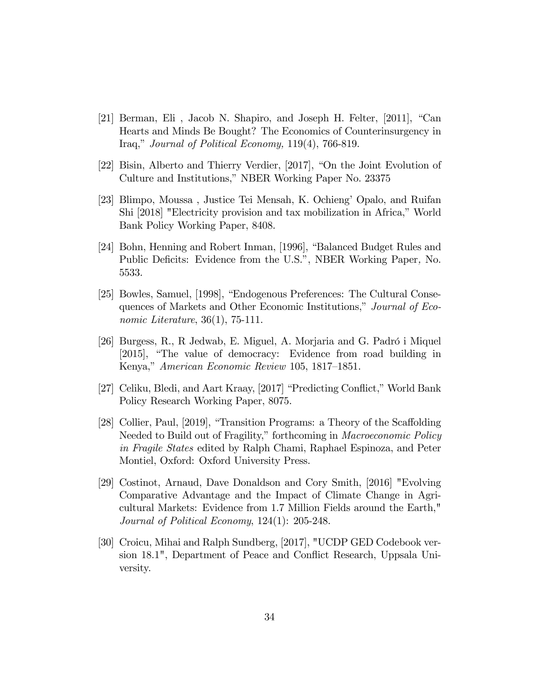- [21] Berman, Eli, Jacob N. Shapiro, and Joseph H. Felter, [2011], "Can Hearts and Minds Be Bought? The Economics of Counterinsurgency in Iraq," Journal of Political Economy,  $119(4)$ , 766-819.
- [22] Bisin, Alberto and Thierry Verdier, [2017], "On the Joint Evolution of Culture and Institutions," NBER Working Paper No. 23375
- [23] Blimpo, Moussa, Justice Tei Mensah, K. Ochieng' Opalo, and Ruifan Shi [2018] "Electricity provision and tax mobilization in Africa," World Bank Policy Working Paper, 8408.
- [24] Bohn, Henning and Robert Inman, [1996], "Balanced Budget Rules and Public Deficits: Evidence from the U.S.", NBER Working Paper, No. 5533.
- [25] Bowles, Samuel, [1998], "Endogenous Preferences: The Cultural Consequences of Markets and Other Economic Institutions," Journal of Economic Literature, 36(1), 75-111.
- [26] Burgess, R., R Jedwab, E. Miguel, A. Morjaria and G. Padró i Miquel [2015], "The value of democracy: Evidence from road building in Kenya," American Economic Review 105, 1817–1851.
- [27] Celiku, Bledi, and Aart Kraay, [2017] "Predicting Conflict," World Bank Policy Research Working Paper, 8075.
- [28] Collier, Paul, [2019], "Transition Programs: a Theory of the Scaffolding Needed to Build out of Fragility," forthcoming in *Macroeconomic Policy* in Fragile States edited by Ralph Chami, Raphael Espinoza, and Peter Montiel, Oxford: Oxford University Press.
- [29] Costinot, Arnaud, Dave Donaldson and Cory Smith, [2016] "Evolving Comparative Advantage and the Impact of Climate Change in Agricultural Markets: Evidence from 1.7 Million Fields around the Earth," Journal of Political Economy, 124(1): 205-248.
- [30] Croicu, Mihai and Ralph Sundberg, [2017], "UCDP GED Codebook version 18.1", Department of Peace and Conflict Research, Uppsala University.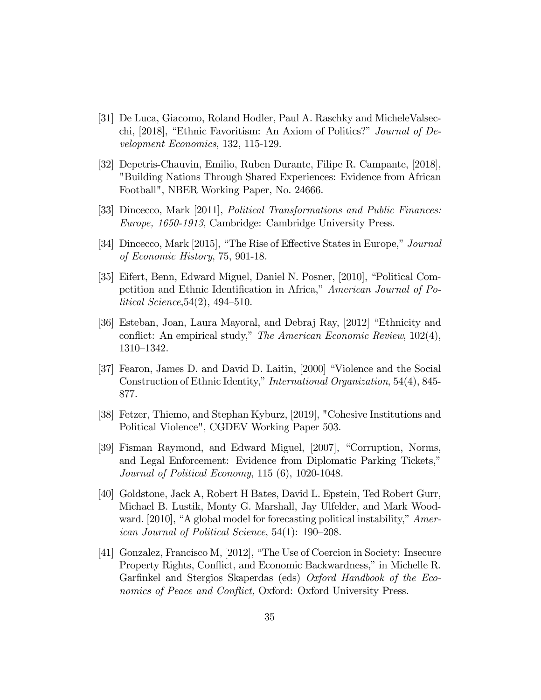- [31] De Luca, Giacomo, Roland Hodler, Paul A. Raschky and MicheleValsecchi, [2018], "Ethnic Favoritism: An Axiom of Politics?" *Journal of De*velopment Economics, 132, 115-129.
- [32] Depetris-Chauvin, Emilio, Ruben Durante, Filipe R. Campante, [2018], "Building Nations Through Shared Experiences: Evidence from African Football", NBER Working Paper, No. 24666.
- [33] Dincecco, Mark [2011], Political Transformations and Public Finances: Europe, 1650-1913, Cambridge: Cambridge University Press.
- [34] Dincecco, Mark [2015], "The Rise of Effective States in Europe," Journal of Economic History, 75, 901-18.
- [35] Eifert, Benn, Edward Miguel, Daniel N. Posner, [2010], "Political Competition and Ethnic Identification in Africa," American Journal of Political Science,  $54(2)$ ,  $494-510$ .
- [36] Esteban, Joan, Laura Mayoral, and Debraj Ray, [2012] "Ethnicity and conflict: An empirical study," The American Economic Review,  $102(4)$ , 1310–1342.
- [37] Fearon, James D. and David D. Laitin, [2000] "Violence and the Social Construction of Ethnic Identity," International Organization, 54(4), 845-877.
- [38] Fetzer, Thiemo, and Stephan Kyburz, [2019], "Cohesive Institutions and Political Violence", CGDEV Working Paper 503.
- [39] Fisman Raymond, and Edward Miguel, [2007], "Corruption, Norms, and Legal Enforcement: Evidence from Diplomatic Parking Tickets," Journal of Political Economy, 115 (6), 1020-1048.
- [40] Goldstone, Jack A, Robert H Bates, David L. Epstein, Ted Robert Gurr, Michael B. Lustik, Monty G. Marshall, Jay Ulfelder, and Mark Woodward. [2010], "A global model for forecasting political instability,"  $Amer$ ican Journal of Political Science,  $54(1)$ : 190–208.
- [41] Gonzalez, Francisco M, [2012], "The Use of Coercion in Society: Insecure Property Rights, Conflict, and Economic Backwardness," in Michelle R. Garfinkel and Stergios Skaperdas (eds) Oxford Handbook of the Economics of Peace and Conflict, Oxford: Oxford University Press.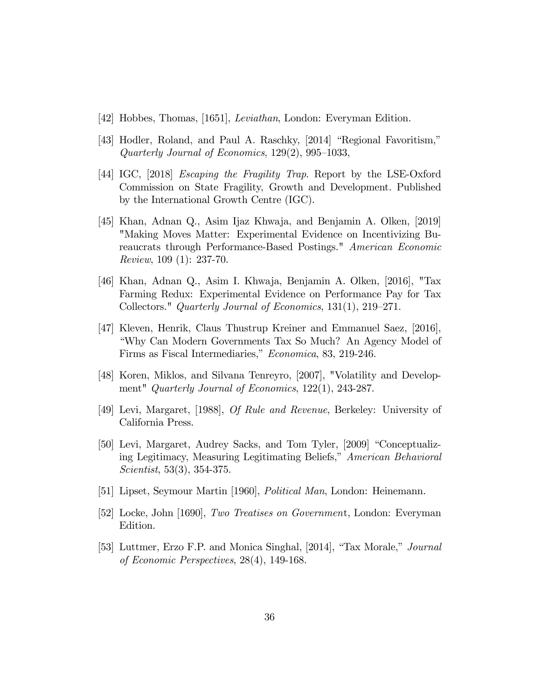- [42] Hobbes, Thomas, [1651], Leviathan, London: Everyman Edition.
- [43] Hodler, Roland, and Paul A. Raschky, [2014] "Regional Favoritism," Quarterly Journal of Economics,  $129(2)$ ,  $995-1033$ ,
- [44] IGC, [2018] Escaping the Fragility Trap. Report by the LSE-Oxford Commission on State Fragility, Growth and Development. Published by the International Growth Centre (IGC).
- [45] Khan, Adnan Q., Asim Ijaz Khwaja, and Benjamin A. Olken, [2019] "Making Moves Matter: Experimental Evidence on Incentivizing Bureaucrats through Performance-Based Postings." American Economic Review, 109 (1): 237-70.
- [46] Khan, Adnan Q., Asim I. Khwaja, Benjamin A. Olken, [2016], "Tax Farming Redux: Experimental Evidence on Performance Pay for Tax Collectors." Quarterly Journal of Economics,  $131(1)$ ,  $219-271$ .
- [47] Kleven, Henrik, Claus Thustrup Kreiner and Emmanuel Saez, [2016], ìWhy Can Modern Governments Tax So Much? An Agency Model of Firms as Fiscal Intermediaries," Economica, 83, 219-246.
- [48] Koren, Miklos, and Silvana Tenreyro, [2007], "Volatility and Development" Quarterly Journal of Economics, 122(1), 243-287.
- [49] Levi, Margaret, [1988], Of Rule and Revenue, Berkeley: University of California Press.
- [50] Levi, Margaret, Audrey Sacks, and Tom Tyler, [2009] "Conceptualizing Legitimacy, Measuring Legitimating Beliefs," American Behavioral Scientist, 53(3), 354-375.
- [51] Lipset, Seymour Martin [1960], Political Man, London: Heinemann.
- [52] Locke, John [1690], Two Treatises on Government, London: Everyman Edition.
- [53] Luttmer, Erzo F.P. and Monica Singhal, [2014], "Tax Morale,"  $Journal$ of Economic Perspectives, 28(4), 149-168.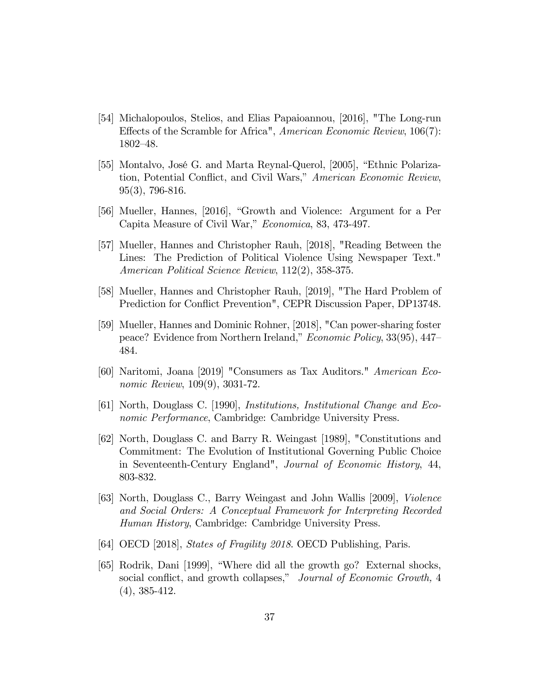- [54] Michalopoulos, Stelios, and Elias Papaioannou, [2016], "The Long-run Effects of the Scramble for Africa", American Economic Review, 106(7): 1802-48.
- [55] Montalvo, José G. and Marta Reynal-Querol, [2005], "Ethnic Polarization, Potential Conflict, and Civil Wars," American Economic Review, 95(3), 796-816.
- [56] Mueller, Hannes, [2016], "Growth and Violence: Argument for a Per Capita Measure of Civil War," Economica, 83, 473-497.
- [57] Mueller, Hannes and Christopher Rauh, [2018], "Reading Between the Lines: The Prediction of Political Violence Using Newspaper Text." American Political Science Review, 112(2), 358-375.
- [58] Mueller, Hannes and Christopher Rauh, [2019], "The Hard Problem of Prediction for Conflict Prevention", CEPR Discussion Paper, DP13748.
- [59] Mueller, Hannes and Dominic Rohner, [2018], "Can power-sharing foster peace? Evidence from Northern Ireland," *Economic Policy*, 33(95), 447 484.
- [60] Naritomi, Joana [2019] "Consumers as Tax Auditors." American Economic Review, 109(9), 3031-72.
- [61] North, Douglass C. [1990], Institutions, Institutional Change and Economic Performance, Cambridge: Cambridge University Press.
- [62] North, Douglass C. and Barry R. Weingast [1989], "Constitutions and Commitment: The Evolution of Institutional Governing Public Choice in Seventeenth-Century England", Journal of Economic History, 44, 803-832.
- [63] North, Douglass C., Barry Weingast and John Wallis [2009], Violence and Social Orders: A Conceptual Framework for Interpreting Recorded Human History, Cambridge: Cambridge University Press.
- [64] OECD [2018], States of Fragility 2018. OECD Publishing, Paris.
- [65] Rodrik, Dani [1999], "Where did all the growth go? External shocks, social conflict, and growth collapses," Journal of Economic Growth, 4 (4), 385-412.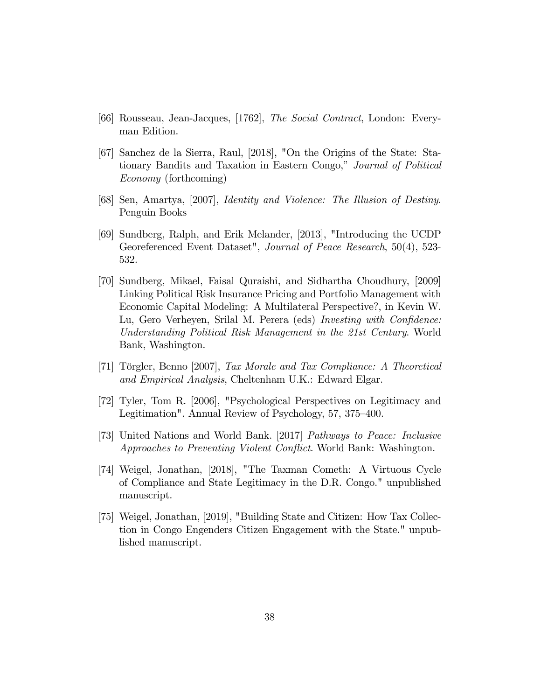- [66] Rousseau, Jean-Jacques, [1762], The Social Contract, London: Everyman Edition.
- [67] Sanchez de la Sierra, Raul, [2018], "On the Origins of the State: Stationary Bandits and Taxation in Eastern Congo," Journal of Political Economy (forthcoming)
- [68] Sen, Amartya, [2007], Identity and Violence: The Illusion of Destiny. Penguin Books
- [69] Sundberg, Ralph, and Erik Melander, [2013], "Introducing the UCDP Georeferenced Event Dataset", Journal of Peace Research, 50(4), 523- 532.
- [70] Sundberg, Mikael, Faisal Quraishi, and Sidhartha Choudhury, [2009] Linking Political Risk Insurance Pricing and Portfolio Management with Economic Capital Modeling: A Multilateral Perspective?, in Kevin W. Lu, Gero Verheyen, Srilal M. Perera (eds) Investing with Confidence: Understanding Political Risk Management in the 21st Century. World Bank, Washington.
- [71] Törgler, Benno [2007], Tax Morale and Tax Compliance: A Theoretical and Empirical Analysis, Cheltenham U.K.: Edward Elgar.
- [72] Tyler, Tom R. [2006], "Psychological Perspectives on Legitimacy and Legitimation". Annual Review of Psychology, 57, 375-400.
- [73] United Nations and World Bank. [2017] Pathways to Peace: Inclusive Approaches to Preventing Violent Conflict. World Bank: Washington.
- [74] Weigel, Jonathan, [2018], "The Taxman Cometh: A Virtuous Cycle of Compliance and State Legitimacy in the D.R. Congo." unpublished manuscript.
- [75] Weigel, Jonathan, [2019], "Building State and Citizen: How Tax Collection in Congo Engenders Citizen Engagement with the State." unpublished manuscript.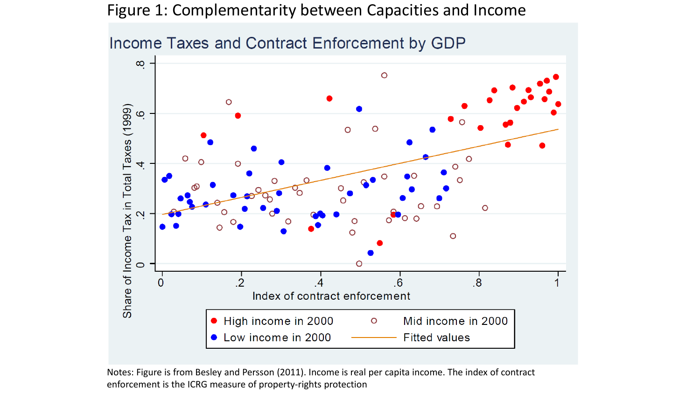Figure 1: Complementarity between Capacities and Income

 $\infty$  $\circ$  $\circ$ Share of Income Tax in Total Taxes (1999) <u>ဖ</u>  $\circ$  $\Omega$ O O 4  $\circ$  $\mathbf{N}$  $\circ$  $\circ$  $\circ$  $\circ$ O  $\circ$  $\overline{2}$  $.8$  $\Omega$  $6$ Index of contract enforcement • High income in 2000 Mid income in 2000  $\mathsf{O}$ Low income in 2000 **Fitted values** 

Income Taxes and Contract Enforcement by GDP

Notes: Figure is from Besley and Persson (2011). Income is real per capita income. The index of contract enforcement is the ICRG measure of property-rights protection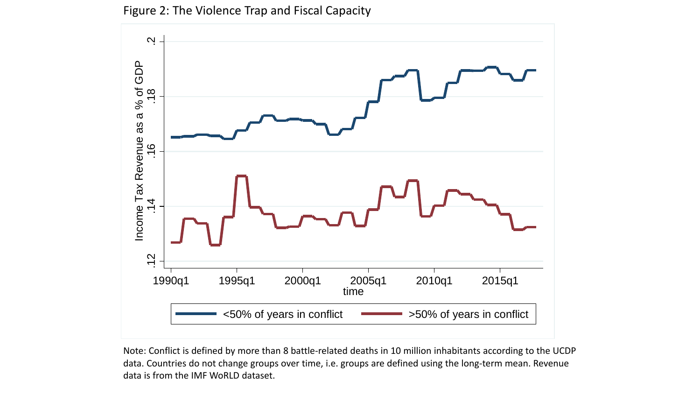

Figure 2: The Violence Trap and Fiscal Capacity

Note: Conflict is defined by more than 8 battle-related deaths in 10 million inhabitants according to the UCDP data. Countries do not change groups over time, i.e. groups are defined using the long-term mean. Revenue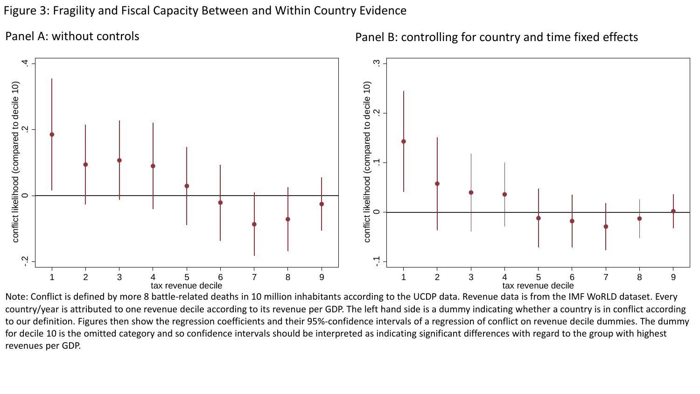Figure 3: Fragility and Fiscal Capacity Between and Within Country Evidence

Panel A: without controls **Panel B: controlling for country and time fixed effects** 



Note: Conflict is defined by more 8 battle-related deaths in 10 million inhabitants according to the UCDP data. Revenue data is from the IMF WoRLD dataset. Every country/year is attributed to one revenue decile according to its revenue per GDP. The left hand side is a dummy indicating whether a country is in conflict according to our definition. Figures then show the regression coefficients and their 95%-confidence intervals of a regression of conflict on revenue decile dummies. The dummy for decile 10 is the omitted category and so confidence intervals should be interpreted as indicating significant differences with regard to the group with highest revenues per GDP.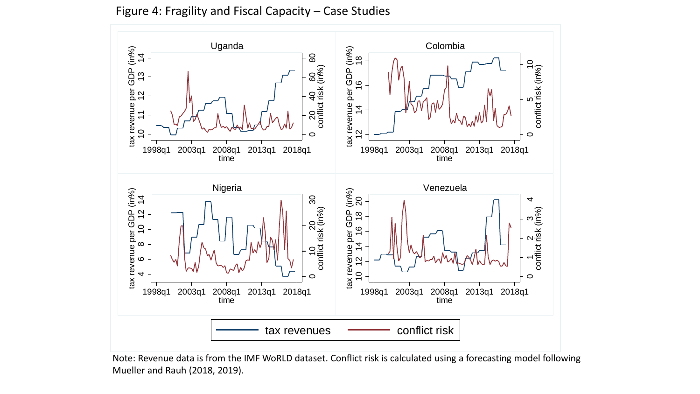Figure 4: Fragility and Fiscal Capacity – Case Studies



Note: Revenue data is from the IMF WoRLD dataset. Conflict risk is calculated using a forecasting model following Mueller and Rauh (2018, 2019).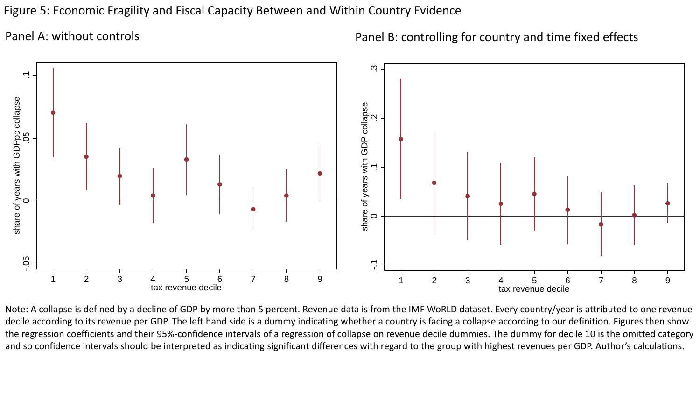Figure 5: Economic Fragility and Fiscal Capacity Between and Within Country Evidence

Panel A: without controls **Panel B: controlling for country and time fixed effects** 



Note: A collapse is defined by a decline of GDP by more than 5 percent. Revenue data is from the IMF WoRLD dataset. Every country/year is attributed to one revenue decile according to its revenue per GDP. The left hand side is a dummy indicating whether a country is facing a collapse according to our definition. Figures then show the regression coefficients and their 95%-confidence intervals of a regression of collapse on revenue decile dummies. The dummy for decile 10 is the omitted category and so confidence intervals should be interpreted as indicating significant differences with regard to the group with highest revenues per GDP. Author's calculations.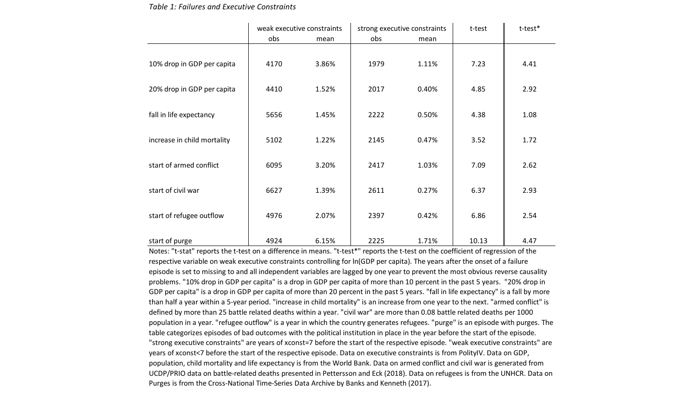*Table 1: Failures and Executive Constraints*

|                             | weak executive constraints |       |      | strong executive constraints | t-test | t-test* |
|-----------------------------|----------------------------|-------|------|------------------------------|--------|---------|
|                             | obs                        | mean  | obs  | mean                         |        |         |
| 10% drop in GDP per capita  | 4170                       | 3.86% | 1979 | 1.11%                        | 7.23   | 4.41    |
| 20% drop in GDP per capita  | 4410                       | 1.52% | 2017 | 0.40%                        | 4.85   | 2.92    |
| fall in life expectancy     | 5656                       | 1.45% | 2222 | 0.50%                        | 4.38   | 1.08    |
| increase in child mortality | 5102                       | 1.22% | 2145 | 0.47%                        | 3.52   | 1.72    |
| start of armed conflict     | 6095                       | 3.20% | 2417 | 1.03%                        | 7.09   | 2.62    |
| start of civil war          | 6627                       | 1.39% | 2611 | 0.27%                        | 6.37   | 2.93    |
| start of refugee outflow    | 4976                       | 2.07% | 2397 | 0.42%                        | 6.86   | 2.54    |
| start of purge              | 4924                       | 6.15% | 2225 | 1.71%                        | 10.13  | 4.47    |

Notes: "t-stat" reports the t-test on a difference in means. "t-test\*" reports the t-test on the coefficient of regression of the respective variable on weak executive constraints controlling for ln(GDP per capita). The years after the onset of a failure episode is set to missing to and all independent variables are lagged by one year to prevent the most obvious reverse causality problems. "10% drop in GDP per capita" is a drop in GDP per capita of more than 10 percent in the past 5 years. "20% drop in GDP per capita" is a drop in GDP per capita of more than 20 percent in the past 5 years. "fall in life expectancy" is a fall by more than half a year within a 5-year period. "increase in child mortality" is an increase from one year to the next. "armed conflict" is defined by more than 25 battle related deaths within a year. "civil war" are more than 0.08 battle related deaths per 1000 population in a year. "refugee outflow" is a year in which the country generates refugees. "purge" is an episode with purges. The table categorizes episodes of bad outcomes with the political institution in place in the year before the start of the episode. "strong executive constraints" are years of xconst=7 before the start of the respective episode. "weak executive constraints" are years of xconst<7 before the start of the respective episode. Data on executive constraints is from PolityIV. Data on GDP, population, child mortality and life expectancy is from the World Bank. Data on armed conflict and civil war is generated from UCDP/PRIO data on battle-related deaths presented in Pettersson and Eck (2018). Data on refugees is from the UNHCR. Data on Purges is from the Cross-National Time-Series Data Archive by Banks and Kenneth (2017).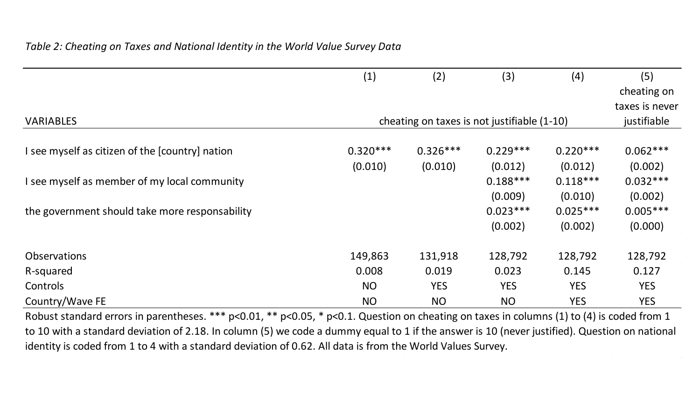## *Table 2: Cheating on Taxes and National Identity in the World Value Survey Data*

|                                                 | (1)                                         | (2)        | (3)        | (4)        | (5)            |
|-------------------------------------------------|---------------------------------------------|------------|------------|------------|----------------|
|                                                 |                                             |            |            |            | cheating on    |
|                                                 |                                             |            |            |            | taxes is never |
| <b>VARIABLES</b>                                | cheating on taxes is not justifiable (1-10) |            |            |            |                |
|                                                 |                                             |            |            |            |                |
| I see myself as citizen of the [country] nation | $0.320***$                                  | $0.326***$ | $0.229***$ | $0.220***$ | $0.062***$     |
|                                                 | (0.010)                                     | (0.010)    | (0.012)    | (0.012)    | (0.002)        |
| I see myself as member of my local community    |                                             |            | $0.188***$ | $0.118***$ | $0.032***$     |
|                                                 |                                             |            | (0.009)    | (0.010)    | (0.002)        |
| the government should take more responsability  |                                             |            | $0.023***$ | $0.025***$ | $0.005***$     |
|                                                 |                                             |            | (0.002)    | (0.002)    | (0.000)        |
| <b>Observations</b>                             | 149,863                                     | 131,918    | 128,792    | 128,792    | 128,792        |
| R-squared                                       | 0.008                                       | 0.019      | 0.023      | 0.145      | 0.127          |
| Controls                                        | <b>NO</b>                                   | <b>YES</b> | <b>YES</b> | <b>YES</b> | <b>YES</b>     |
| Country/Wave FE                                 | <b>NO</b>                                   | <b>NO</b>  | <b>NO</b>  | <b>YES</b> | <b>YES</b>     |

Robust standard errors in parentheses. \*\*\* p<0.01, \*\* p<0.05, \* p<0.1. Question on cheating on taxes in columns (1) to (4) is coded from 1 to 10 with a standard deviation of 2.18. In column (5) we code a dummy equal to 1 if the answer is 10 (never justified). Question on national identity is coded from 1 to 4 with a standard deviation of 0.62. All data is from the World Values Survey.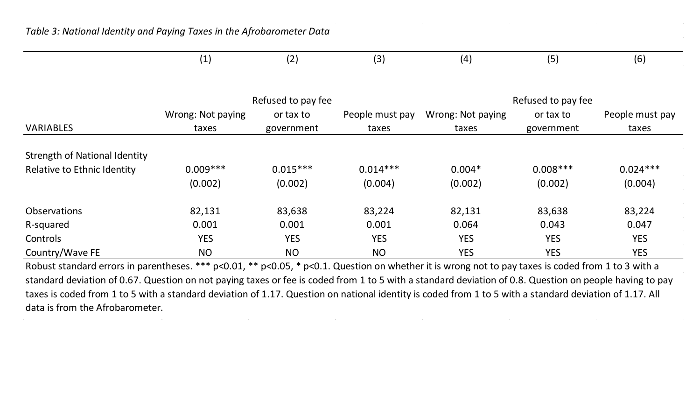*Table 3: National Identity and Paying Taxes in the Afrobarometer Data*

|                                                                            | (1)                   | (2)                   | (3)                   | (4)                 | (5)                   | (6)                   |  |
|----------------------------------------------------------------------------|-----------------------|-----------------------|-----------------------|---------------------|-----------------------|-----------------------|--|
|                                                                            |                       |                       |                       |                     |                       |                       |  |
|                                                                            |                       | Refused to pay fee    |                       | Refused to pay fee  |                       |                       |  |
|                                                                            | Wrong: Not paying     | or tax to             | People must pay       | Wrong: Not paying   | or tax to             | People must pay       |  |
| <b>VARIABLES</b>                                                           | taxes                 | government            | taxes                 | taxes               | government            | taxes                 |  |
| <b>Strength of National Identity</b><br><b>Relative to Ethnic Identity</b> | $0.009***$<br>(0.002) | $0.015***$<br>(0.002) | $0.014***$<br>(0.004) | $0.004*$<br>(0.002) | $0.008***$<br>(0.002) | $0.024***$<br>(0.004) |  |
| Observations                                                               | 82,131                | 83,638                | 83,224                | 82,131              | 83,638                | 83,224                |  |
| R-squared                                                                  | 0.001                 | 0.001                 | 0.001                 | 0.064               | 0.043                 | 0.047                 |  |
| Controls                                                                   | <b>YES</b>            | <b>YES</b>            | <b>YES</b>            | <b>YES</b>          | <b>YES</b>            | <b>YES</b>            |  |
| Country/Wave FE                                                            | <b>NO</b>             | <b>NO</b>             | <b>NO</b>             | <b>YES</b>          | <b>YES</b>            | <b>YES</b>            |  |

Robust standard errors in parentheses. \*\*\* p<0.01, \*\* p<0.05, \* p<0.1. Question on whether it is wrong not to pay taxes is coded from 1 to 3 with a standard deviation of 0.67. Question on not paying taxes or fee is coded from 1 to 5 with a standard deviation of 0.8. Question on people having to pay taxes is coded from 1 to 5 with a standard deviation of 1.17. Question on national identity is coded from 1 to 5 with a standard deviation of 1.17. All data is from the Afrobarometer.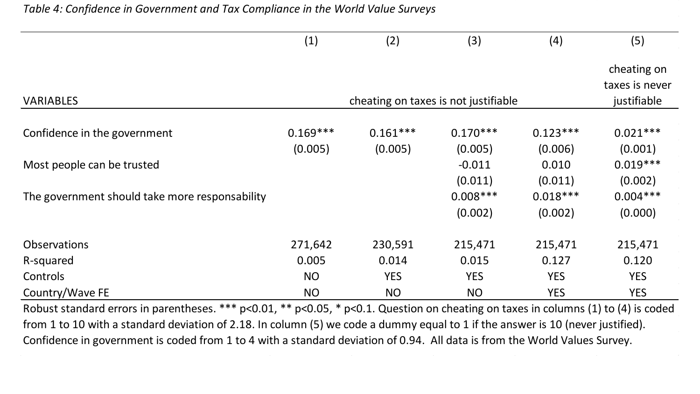|                                                | (1)        | (2)                                  | (3)        | (4)        | (5)            |
|------------------------------------------------|------------|--------------------------------------|------------|------------|----------------|
|                                                |            |                                      |            |            | cheating on    |
|                                                |            |                                      |            |            | taxes is never |
| <b>VARIABLES</b>                               |            | cheating on taxes is not justifiable |            |            | justifiable    |
| Confidence in the government                   | $0.169***$ | $0.161***$                           | $0.170***$ | $0.123***$ | $0.021***$     |
|                                                | (0.005)    | (0.005)                              | (0.005)    | (0.006)    | (0.001)        |
| Most people can be trusted                     |            |                                      | $-0.011$   | 0.010      | $0.019***$     |
|                                                |            |                                      | (0.011)    | (0.011)    | (0.002)        |
| The government should take more responsability |            |                                      | $0.008***$ | $0.018***$ | $0.004***$     |
|                                                |            |                                      | (0.002)    | (0.002)    | (0.000)        |
| <b>Observations</b>                            | 271,642    | 230,591                              | 215,471    | 215,471    | 215,471        |
| R-squared                                      | 0.005      | 0.014                                | 0.015      | 0.127      | 0.120          |
| Controls                                       | <b>NO</b>  | <b>YES</b>                           | <b>YES</b> | <b>YES</b> | <b>YES</b>     |
| Country/Wave FE                                | <b>NO</b>  | <b>NO</b>                            | <b>NO</b>  | <b>YES</b> | <b>YES</b>     |

*Table 4: Confidence in Government and Tax Compliance in the World Value Surveys*

Robust standard errors in parentheses. \*\*\* p<0.01, \*\* p<0.05, \* p<0.1. Question on cheating on taxes in columns (1) to (4) is coded from 1 to 10 with a standard deviation of 2.18. In column (5) we code a dummy equal to 1 if the answer is 10 (never justified). Confidence in government is coded from 1 to 4 with a standard deviation of 0.94. All data is from the World Values Survey.